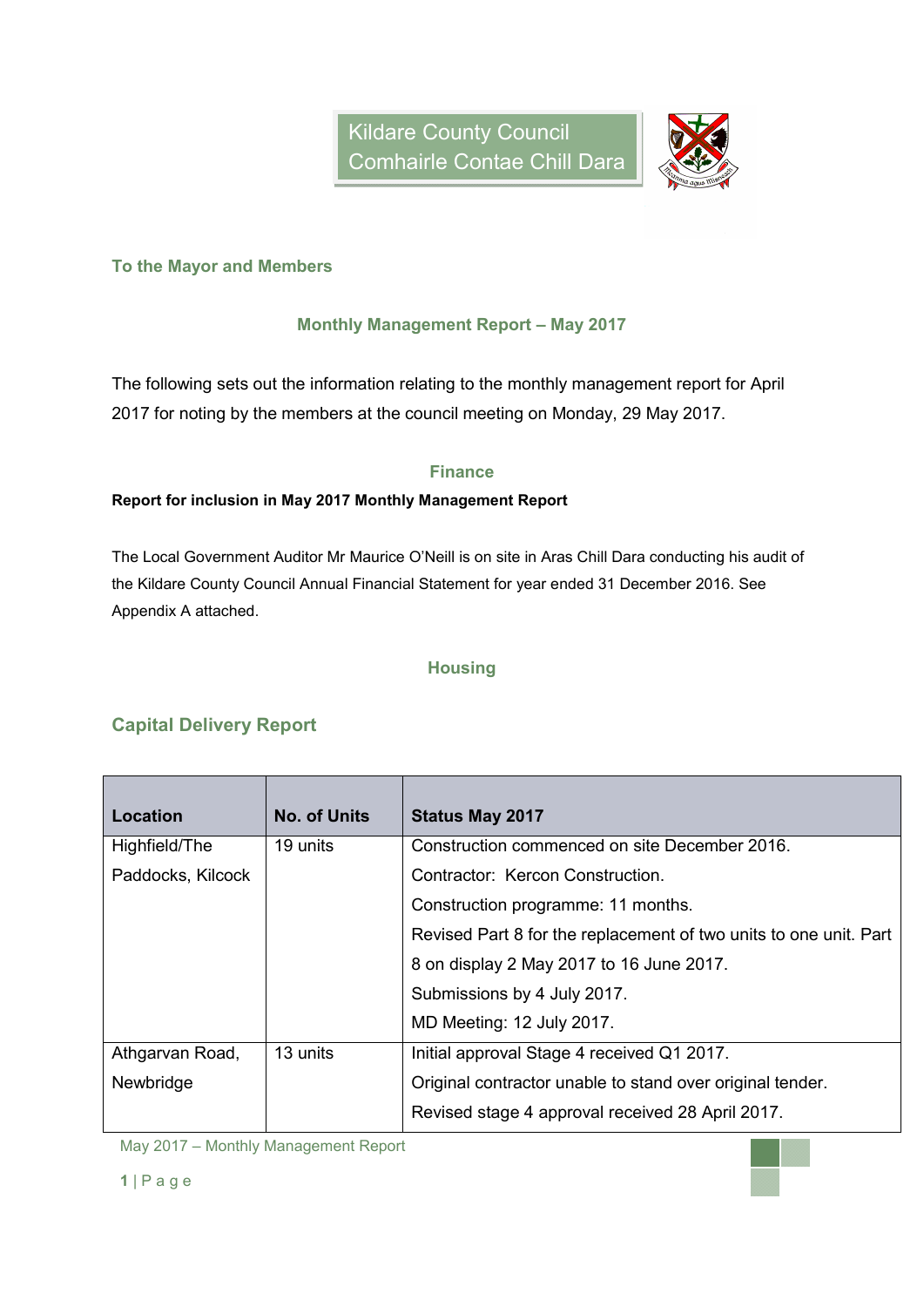

#### **To the Mayor and Members**

#### **Monthly Management Report – May 2017**

The following sets out the information relating to the monthly management report for April 2017 for noting by the members at the council meeting on Monday, 29 May 2017.

#### **Finance**

#### **Report for inclusion in May 2017 Monthly Management Report**

The Local Government Auditor Mr Maurice O'Neill is on site in Aras Chill Dara conducting his audit of the Kildare County Council Annual Financial Statement for year ended 31 December 2016. See Appendix A attached.

#### **Housing**

#### **Capital Delivery Report**

| Location          | <b>No. of Units</b> | <b>Status May 2017</b>                                            |  |  |
|-------------------|---------------------|-------------------------------------------------------------------|--|--|
| Highfield/The     | 19 units            | Construction commenced on site December 2016.                     |  |  |
| Paddocks, Kilcock |                     | Contractor: Kercon Construction.                                  |  |  |
|                   |                     | Construction programme: 11 months.                                |  |  |
|                   |                     | Revised Part 8 for the replacement of two units to one unit. Part |  |  |
|                   |                     | 8 on display 2 May 2017 to 16 June 2017.                          |  |  |
|                   |                     | Submissions by 4 July 2017.                                       |  |  |
|                   |                     | MD Meeting: 12 July 2017.                                         |  |  |
| Athgarvan Road,   | 13 units            | Initial approval Stage 4 received Q1 2017.                        |  |  |
| Newbridge         |                     | Original contractor unable to stand over original tender.         |  |  |
|                   |                     | Revised stage 4 approval received 28 April 2017.                  |  |  |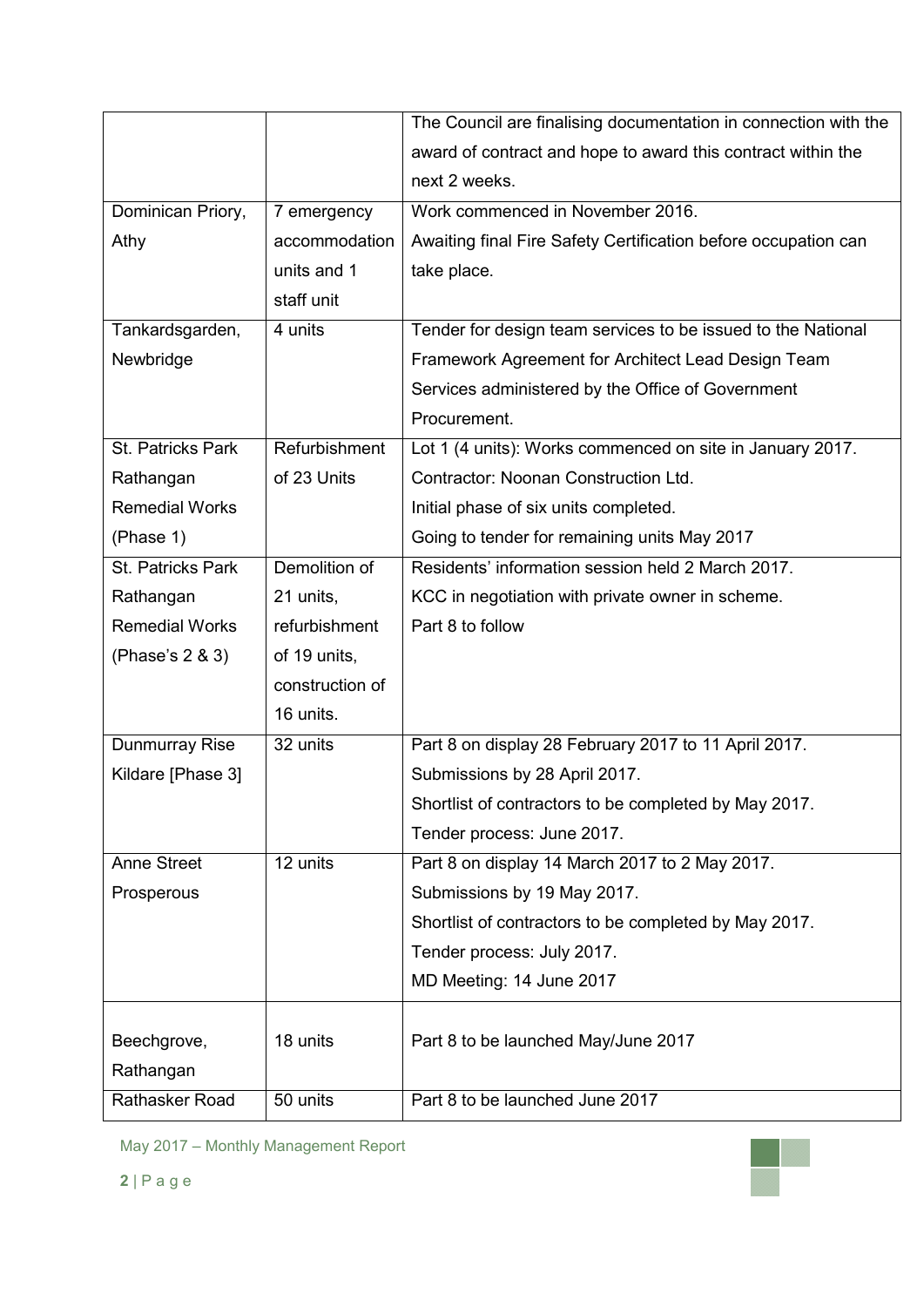|                             |                 | The Council are finalising documentation in connection with the |  |  |
|-----------------------------|-----------------|-----------------------------------------------------------------|--|--|
|                             |                 | award of contract and hope to award this contract within the    |  |  |
|                             |                 | next 2 weeks.                                                   |  |  |
| Dominican Priory,           | 7 emergency     | Work commenced in November 2016.                                |  |  |
| Athy                        | accommodation   | Awaiting final Fire Safety Certification before occupation can  |  |  |
|                             | units and 1     | take place.                                                     |  |  |
|                             | staff unit      |                                                                 |  |  |
| Tankardsgarden,             | 4 units         | Tender for design team services to be issued to the National    |  |  |
| Newbridge                   |                 | Framework Agreement for Architect Lead Design Team              |  |  |
|                             |                 | Services administered by the Office of Government               |  |  |
|                             |                 | Procurement.                                                    |  |  |
| St. Patricks Park           | Refurbishment   | Lot 1 (4 units): Works commenced on site in January 2017.       |  |  |
| Rathangan                   | of 23 Units     | Contractor: Noonan Construction Ltd.                            |  |  |
| <b>Remedial Works</b>       |                 | Initial phase of six units completed.                           |  |  |
| (Phase 1)                   |                 | Going to tender for remaining units May 2017                    |  |  |
| St. Patricks Park           | Demolition of   | Residents' information session held 2 March 2017.               |  |  |
| Rathangan                   | 21 units,       | KCC in negotiation with private owner in scheme.                |  |  |
| <b>Remedial Works</b>       | refurbishment   | Part 8 to follow                                                |  |  |
|                             | of 19 units,    |                                                                 |  |  |
| (Phase's 2 & 3)             |                 |                                                                 |  |  |
|                             | construction of |                                                                 |  |  |
|                             | 16 units.       |                                                                 |  |  |
| Dunmurray Rise              | 32 units        | Part 8 on display 28 February 2017 to 11 April 2017.            |  |  |
| Kildare [Phase 3]           |                 | Submissions by 28 April 2017.                                   |  |  |
|                             |                 | Shortlist of contractors to be completed by May 2017.           |  |  |
|                             |                 | Tender process: June 2017.                                      |  |  |
| <b>Anne Street</b>          | 12 units        | Part 8 on display 14 March 2017 to 2 May 2017.                  |  |  |
| Prosperous                  |                 | Submissions by 19 May 2017.                                     |  |  |
|                             |                 | Shortlist of contractors to be completed by May 2017.           |  |  |
|                             |                 | Tender process: July 2017.                                      |  |  |
|                             |                 | MD Meeting: 14 June 2017                                        |  |  |
|                             |                 |                                                                 |  |  |
| Beechgrove,                 | 18 units        | Part 8 to be launched May/June 2017                             |  |  |
| Rathangan<br>Rathasker Road | 50 units        | Part 8 to be launched June 2017                                 |  |  |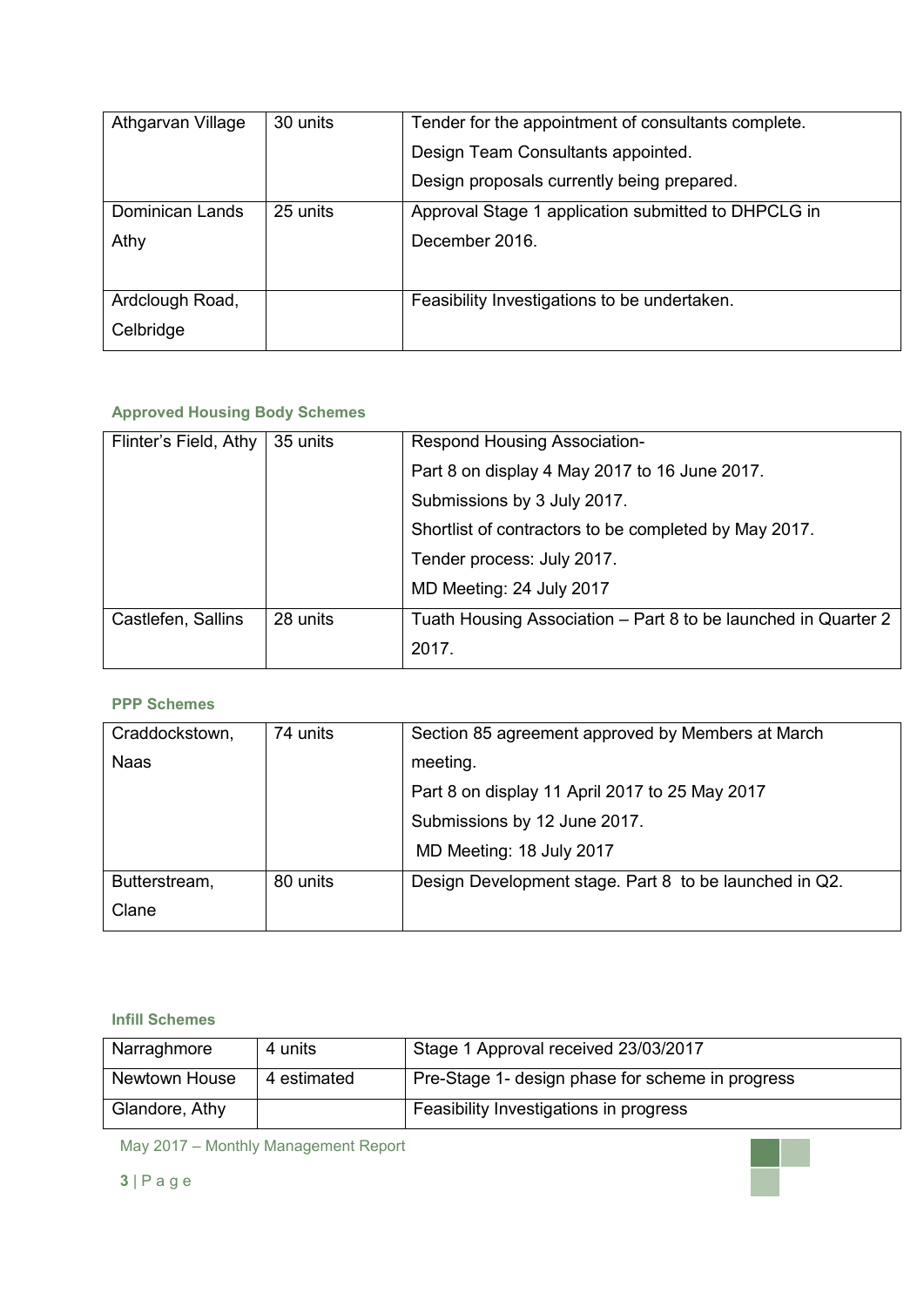| Athgarvan Village | 30 units | Tender for the appointment of consultants complete. |  |  |
|-------------------|----------|-----------------------------------------------------|--|--|
|                   |          | Design Team Consultants appointed.                  |  |  |
|                   |          | Design proposals currently being prepared.          |  |  |
| Dominican Lands   | 25 units | Approval Stage 1 application submitted to DHPCLG in |  |  |
| Athy              |          | December 2016.                                      |  |  |
|                   |          |                                                     |  |  |
| Ardclough Road,   |          | Feasibility Investigations to be undertaken.        |  |  |
| Celbridge         |          |                                                     |  |  |

## **Approved Housing Body Schemes**

| Flinter's Field, Athy | 35 units | <b>Respond Housing Association-</b>                            |  |  |
|-----------------------|----------|----------------------------------------------------------------|--|--|
|                       |          | Part 8 on display 4 May 2017 to 16 June 2017.                  |  |  |
|                       |          | Submissions by 3 July 2017.                                    |  |  |
|                       |          | Shortlist of contractors to be completed by May 2017.          |  |  |
|                       |          | Tender process: July 2017.                                     |  |  |
|                       |          | MD Meeting: 24 July 2017                                       |  |  |
| Castlefen, Sallins    | 28 units | Tuath Housing Association - Part 8 to be launched in Quarter 2 |  |  |
|                       |          | 2017.                                                          |  |  |

#### **PPP Schemes**

| Craddockstown, | 74 units | Section 85 agreement approved by Members at March      |  |  |  |
|----------------|----------|--------------------------------------------------------|--|--|--|
| <b>Naas</b>    |          | meeting.                                               |  |  |  |
|                |          | Part 8 on display 11 April 2017 to 25 May 2017         |  |  |  |
|                |          | Submissions by 12 June 2017.                           |  |  |  |
|                |          | MD Meeting: 18 July 2017                               |  |  |  |
| Butterstream,  | 80 units | Design Development stage. Part 8 to be launched in Q2. |  |  |  |
| Clane          |          |                                                        |  |  |  |

#### **Infill Schemes**

| Narraghmore          | 4 units     | Stage 1 Approval received 23/03/2017             |
|----------------------|-------------|--------------------------------------------------|
| <b>Newtown House</b> | 4 estimated | Pre-Stage 1- design phase for scheme in progress |
| Glandore, Athy       |             | Feasibility Investigations in progress           |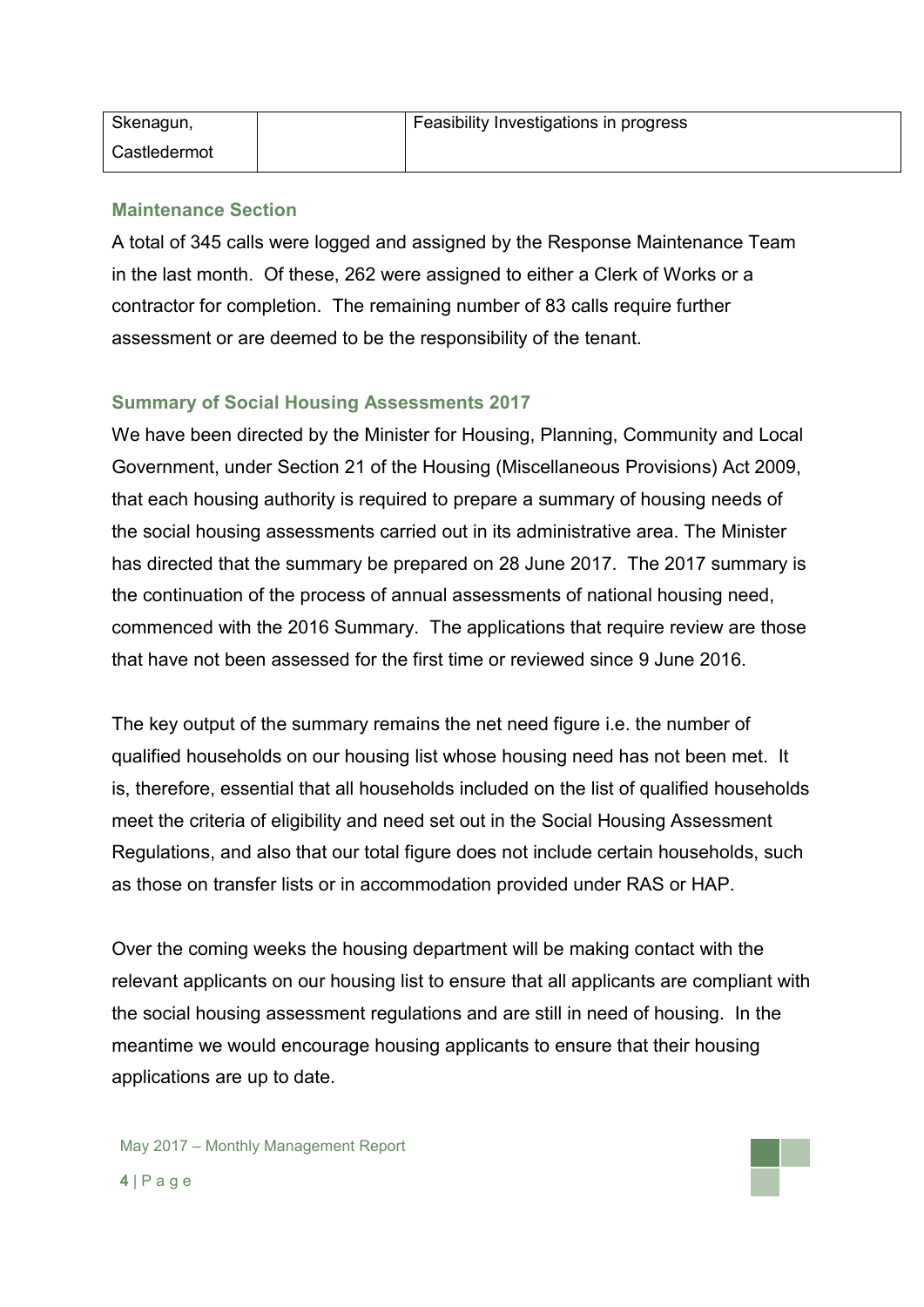| Skenagun,    | Feasibility Investigations in progress |
|--------------|----------------------------------------|
| Castledermot |                                        |

### **Maintenance Section**

A total of 345 calls were logged and assigned by the Response Maintenance Team in the last month. Of these, 262 were assigned to either a Clerk of Works or a contractor for completion. The remaining number of 83 calls require further assessment or are deemed to be the responsibility of the tenant.

## **Summary of Social Housing Assessments 2017**

We have been directed by the Minister for Housing, Planning, Community and Local Government, under Section 21 of the Housing (Miscellaneous Provisions) Act 2009, that each housing authority is required to prepare a summary of housing needs of the social housing assessments carried out in its administrative area. The Minister has directed that the summary be prepared on 28 June 2017.The 2017 summary is the continuation of the process of annual assessments of national housing need, commenced with the 2016 Summary. The applications that require review are those that have not been assessed for the first time or reviewed since 9 June 2016.

The key output of the summary remains the net need figure i.e. the number of qualified households on our housing list whose housing need has not been met. It is, therefore, essential that all households included on the list of qualified households meet the criteria of eligibility and need set out in the Social Housing Assessment Regulations, and also that our total figure does not include certain households, such as those on transfer lists or in accommodation provided under RAS or HAP.

Over the coming weeks the housing department will be making contact with the relevant applicants on our housing list to ensure that all applicants are compliant with the social housing assessment regulations and are still in need of housing. In the meantime we would encourage housing applicants to ensure that their housing applications are up to date.

May 2017 – Monthly Management Report **4** | P a g e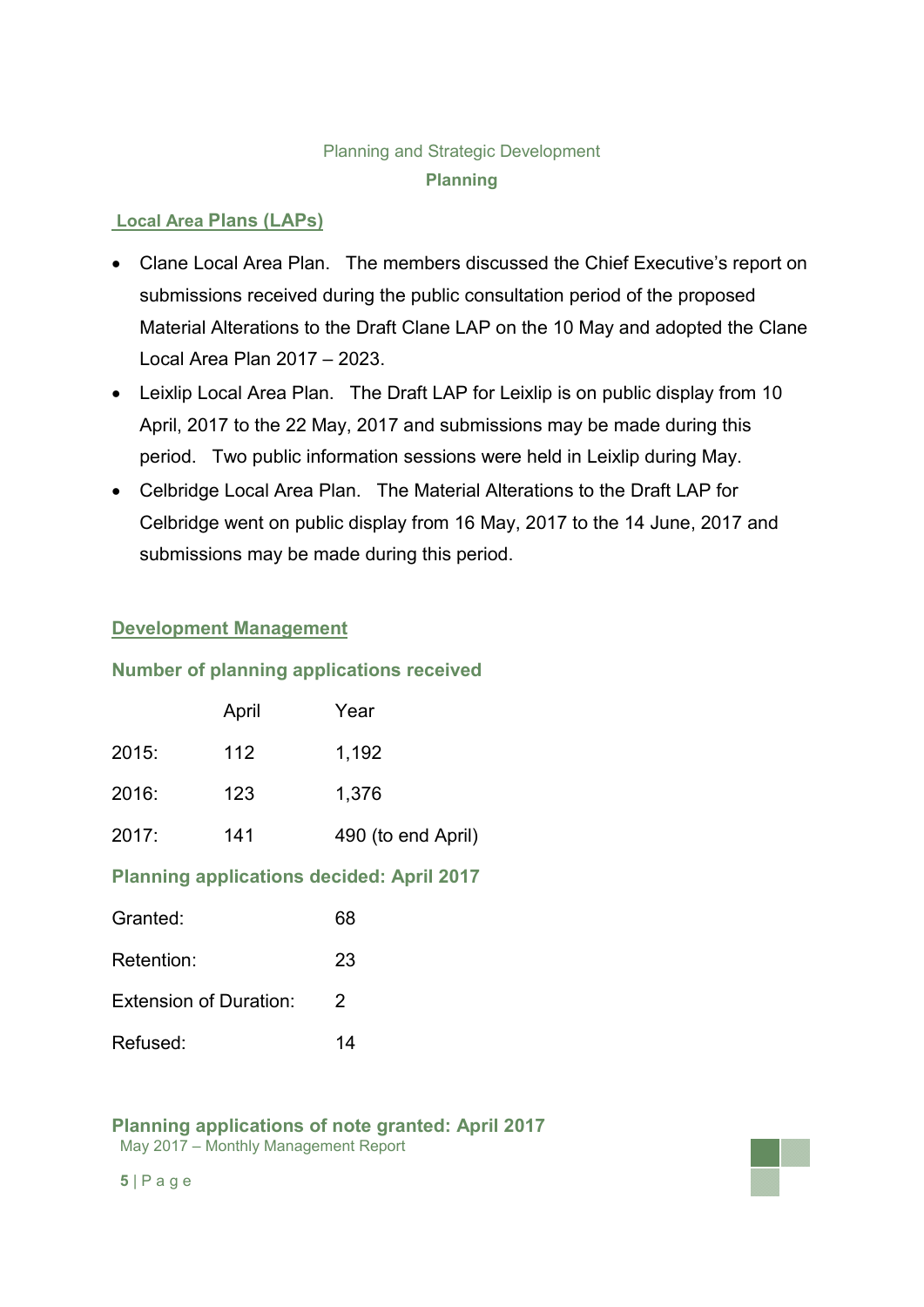## Planning and Strategic Development **Planning**

## **Local Area Plans (LAPs)**

- Clane Local Area Plan. The members discussed the Chief Executive's report on submissions received during the public consultation period of the proposed Material Alterations to the Draft Clane LAP on the 10 May and adopted the Clane Local Area Plan 2017 – 2023.
- Leixlip Local Area Plan. The Draft LAP for Leixlip is on public display from 10 April, 2017 to the 22 May, 2017 and submissions may be made during this period. Two public information sessions were held in Leixlip during May.
- Celbridge Local Area Plan. The Material Alterations to the Draft LAP for Celbridge went on public display from 16 May, 2017 to the 14 June, 2017 and submissions may be made during this period.

## **Development Management**

## **Number of planning applications received**

|       | April | Year               |
|-------|-------|--------------------|
| 2015: | 112   | 1,192              |
| 2016: | 123   | 1,376              |
| 2017: | 141   | 490 (to end April) |

## **Planning applications decided: April 2017**

| Granted:                      | 68 |
|-------------------------------|----|
| Retention:                    | 23 |
| <b>Extension of Duration:</b> | 2  |
| Refused:                      | 14 |

#### May 2017 – Monthly Management Report **Planning applications of note granted: April 2017**

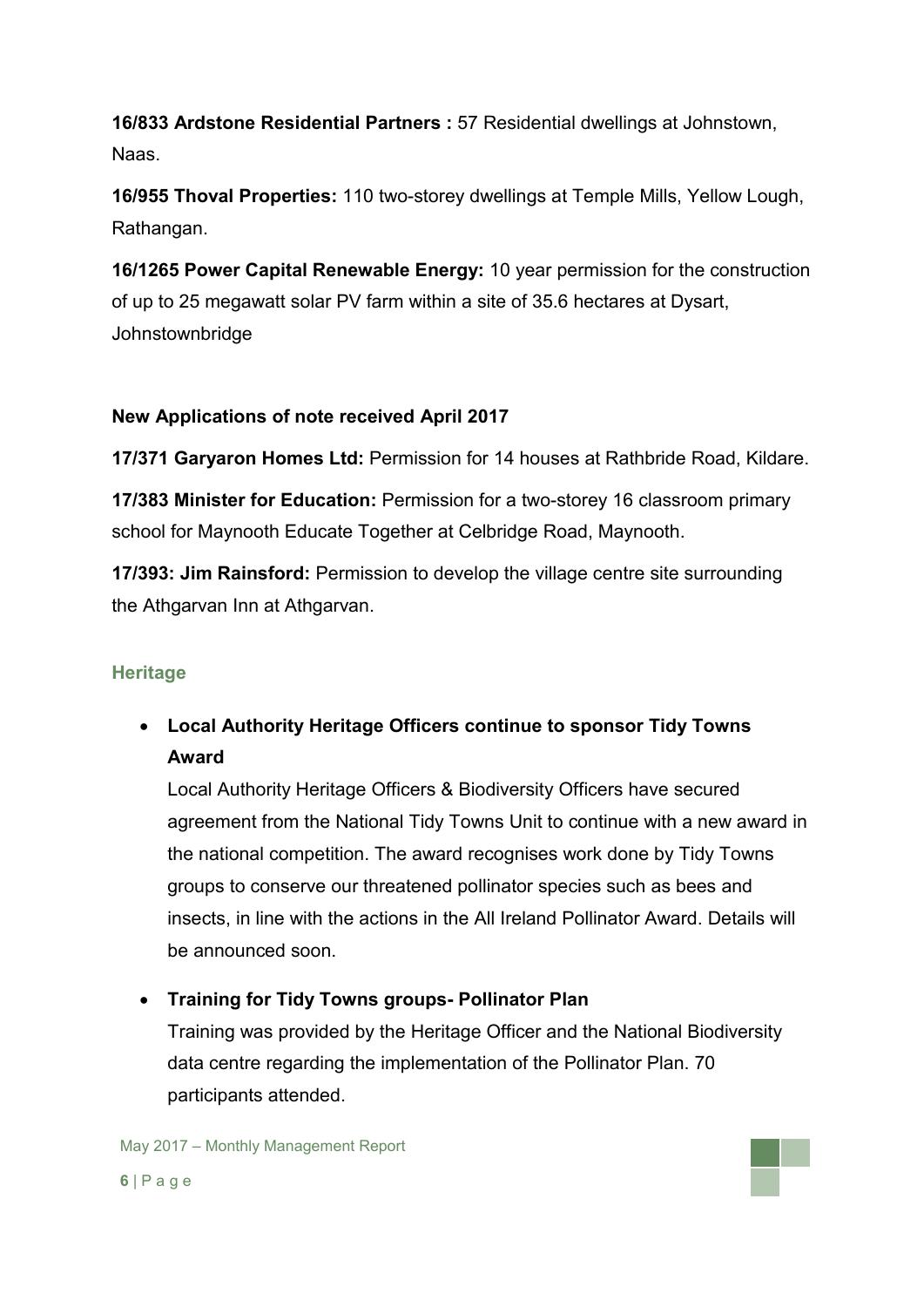**16/833 Ardstone Residential Partners :** 57 Residential dwellings at Johnstown, Naas.

**16/955 Thoval Properties:** 110 two-storey dwellings at Temple Mills, Yellow Lough, Rathangan.

**16/1265 Power Capital Renewable Energy:** 10 year permission for the construction of up to 25 megawatt solar PV farm within a site of 35.6 hectares at Dysart, Johnstownbridge

## **New Applications of note received April 2017**

**17/371 Garyaron Homes Ltd:** Permission for 14 houses at Rathbride Road, Kildare.

**17/383 Minister for Education:** Permission for a two-storey 16 classroom primary school for Maynooth Educate Together at Celbridge Road, Maynooth.

**17/393: Jim Rainsford:** Permission to develop the village centre site surrounding the Athgarvan Inn at Athgarvan.

## **Heritage**

 **Local Authority Heritage Officers continue to sponsor Tidy Towns Award**

Local Authority Heritage Officers & Biodiversity Officers have secured agreement from the National Tidy Towns Unit to continue with a new award in the national competition. The award recognises work done by Tidy Towns groups to conserve our threatened pollinator species such as bees and insects, in line with the actions in the All Ireland Pollinator Award. Details will be announced soon.

## **Training for Tidy Towns groups- Pollinator Plan**

Training was provided by the Heritage Officer and the National Biodiversity data centre regarding the implementation of the Pollinator Plan. 70 participants attended.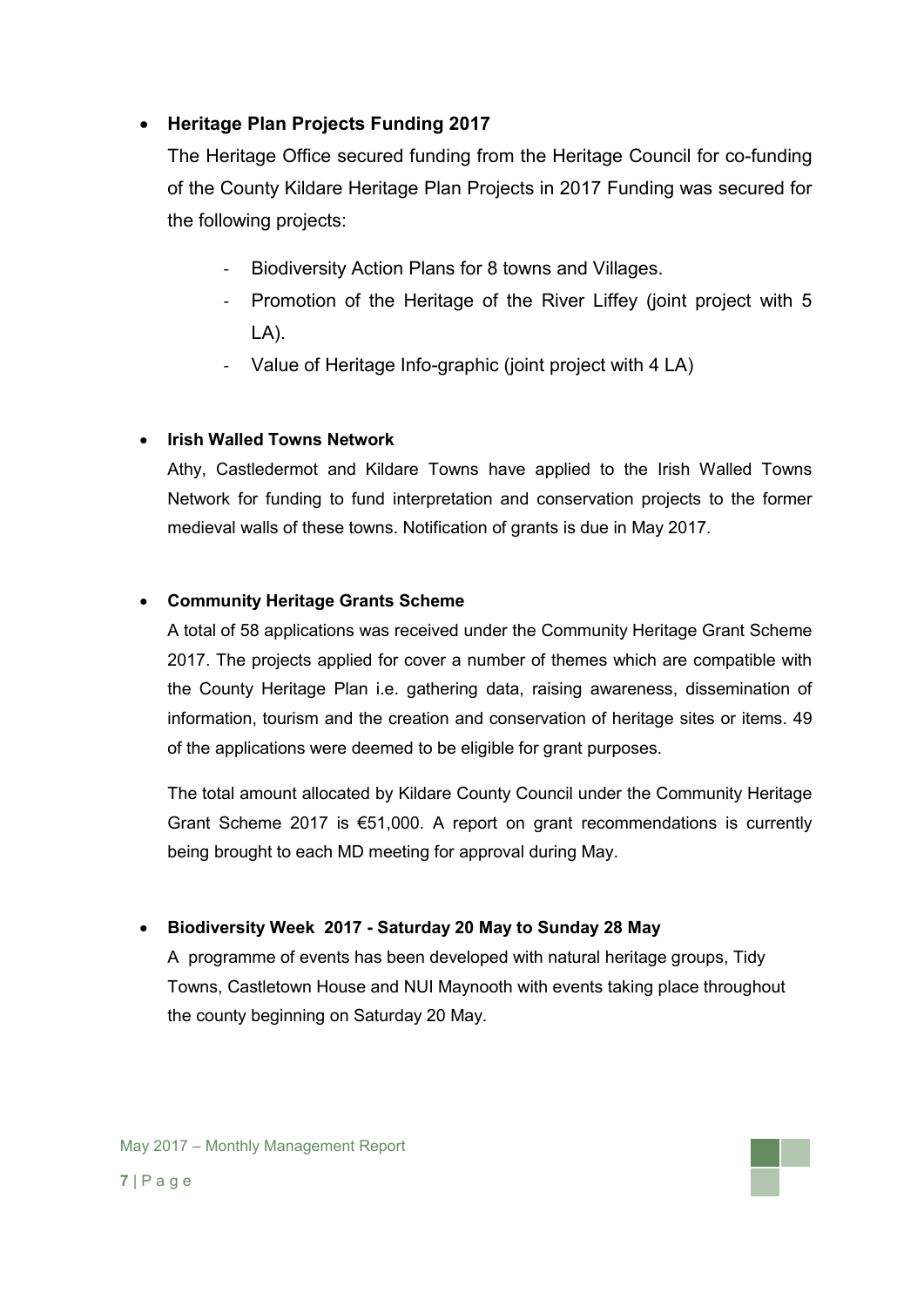## **Heritage Plan Projects Funding 2017**

The Heritage Office secured funding from the Heritage Council for co-funding of the County Kildare Heritage Plan Projects in 2017 Funding was secured for the following projects:

- Biodiversity Action Plans for 8 towns and Villages.
- Promotion of the Heritage of the River Liffey (joint project with 5 LA).
- Value of Heritage Info-graphic (joint project with 4 LA)

## **Irish Walled Towns Network**

Athy, Castledermot and Kildare Towns have applied to the Irish Walled Towns Network for funding to fund interpretation and conservation projects to the former medieval walls of these towns. Notification of grants is due in May 2017.

### **Community Heritage Grants Scheme**

A total of 58 applications was received under the Community Heritage Grant Scheme 2017. The projects applied for cover a number of themes which are compatible with the County Heritage Plan i.e. gathering data, raising awareness, dissemination of information, tourism and the creation and conservation of heritage sites or items. 49 of the applications were deemed to be eligible for grant purposes.

The total amount allocated by Kildare County Council under the Community Heritage Grant Scheme 2017 is €51,000. A report on grant recommendations is currently being brought to each MD meeting for approval during May.

## **Biodiversity Week 2017 - Saturday 20 May to Sunday 28 May**

A programme of events has been developed with natural heritage groups, Tidy Towns, Castletown House and NUI Maynooth with events taking place throughout the county beginning on Saturday 20 May.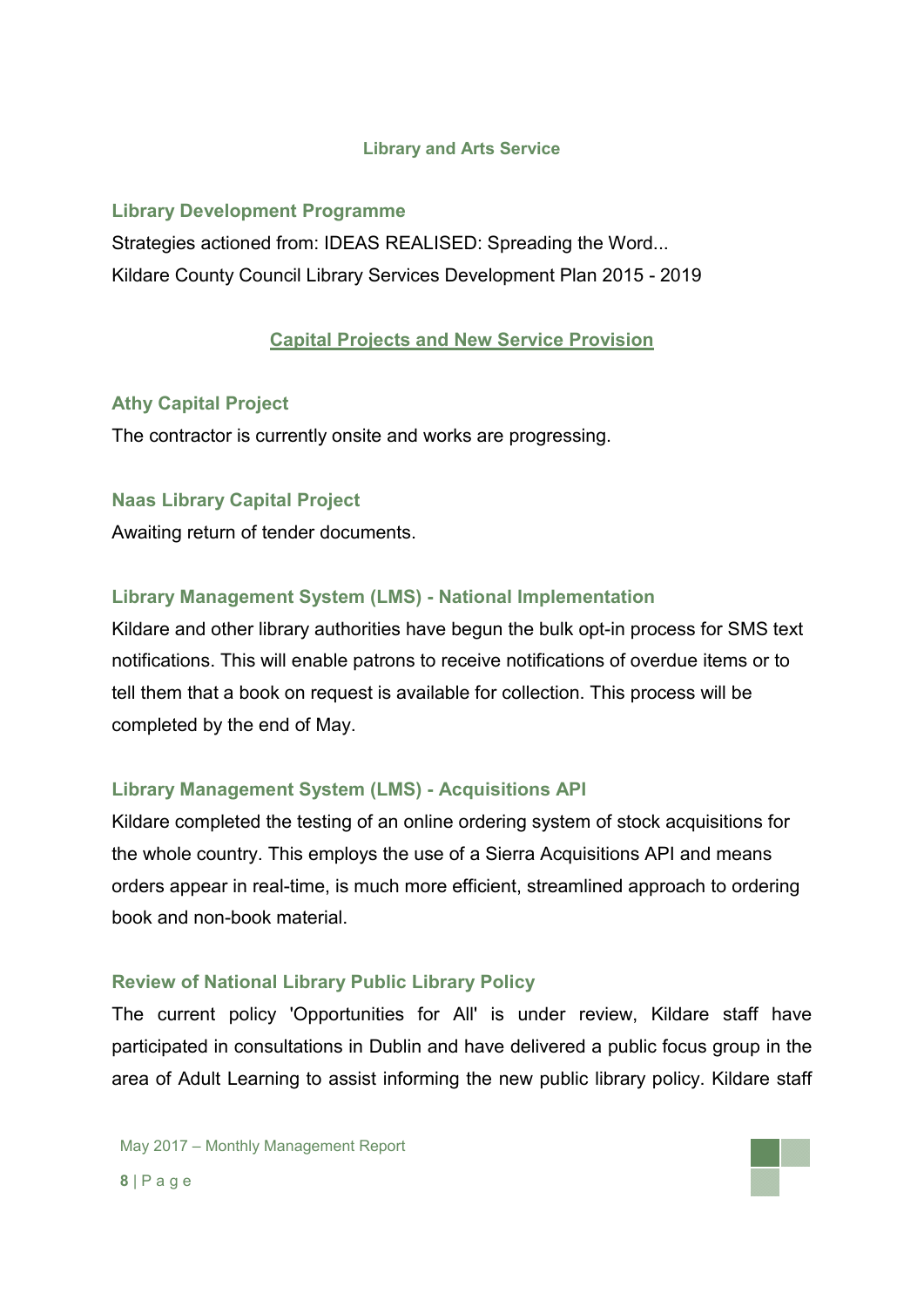#### **Library and Arts Service**

## **Library Development Programme**

Strategies actioned from: IDEAS REALISED: Spreading the Word... Kildare County Council Library Services Development Plan 2015 - 2019

## **Capital Projects and New Service Provision**

### **Athy Capital Project**

The contractor is currently onsite and works are progressing.

### **Naas Library Capital Project**

Awaiting return of tender documents.

### **Library Management System (LMS) - National Implementation**

Kildare and other library authorities have begun the bulk opt-in process for SMS text notifications. This will enable patrons to receive notifications of overdue items or to tell them that a book on request is available for collection. This process will be completed by the end of May.

## **Library Management System (LMS) - Acquisitions API**

Kildare completed the testing of an online ordering system of stock acquisitions for the whole country. This employs the use of a Sierra Acquisitions API and means orders appear in real-time, is much more efficient, streamlined approach to ordering book and non-book material.

#### **Review of National Library Public Library Policy**

The current policy 'Opportunities for All' is under review, Kildare staff have participated in consultations in Dublin and have delivered a public focus group in the area of Adult Learning to assist informing the new public library policy. Kildare staff

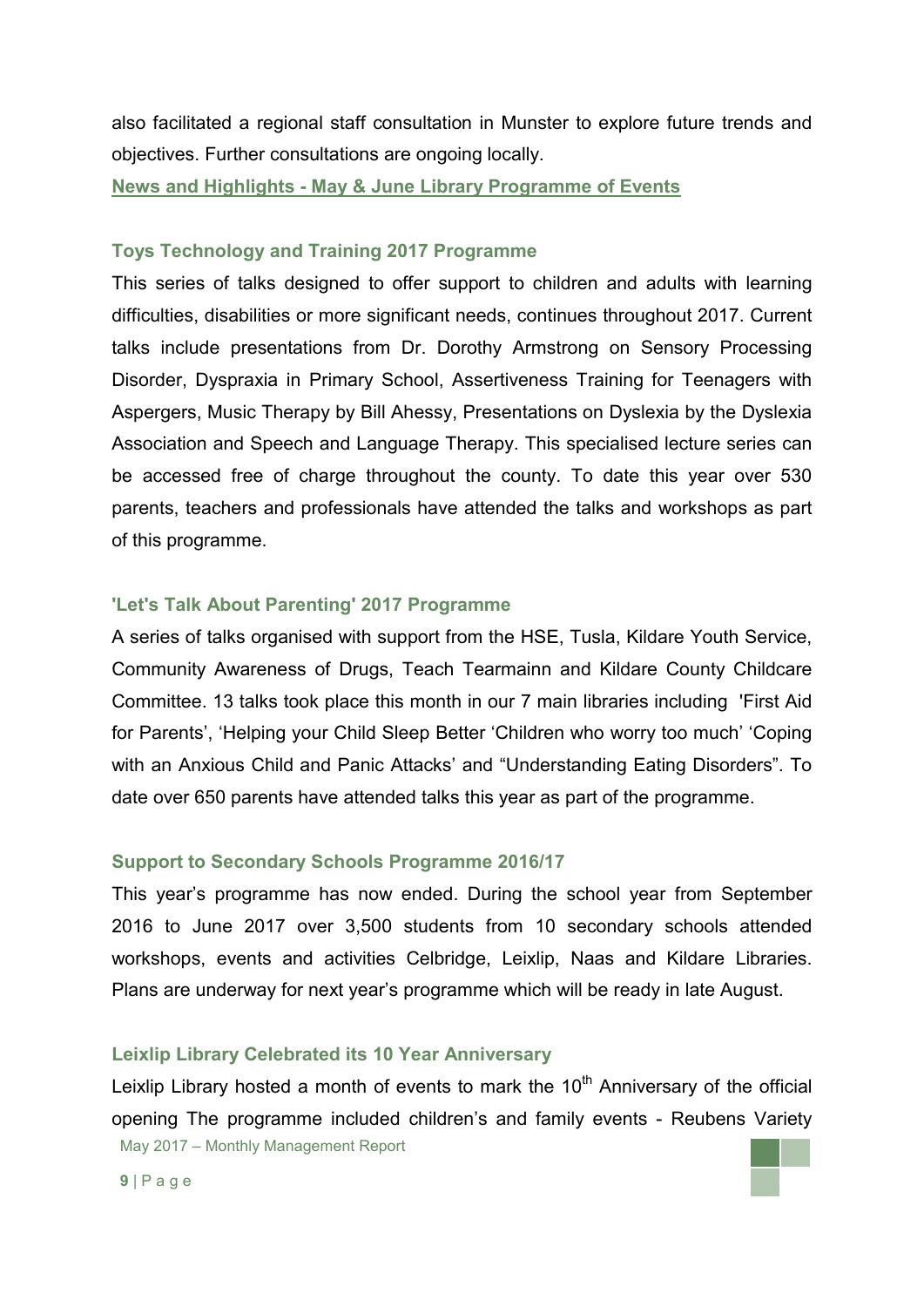also facilitated a regional staff consultation in Munster to explore future trends and objectives. Further consultations are ongoing locally.

**News and Highlights - May & June Library Programme of Events**

#### **Toys Technology and Training 2017 Programme**

This series of talks designed to offer support to children and adults with learning difficulties, disabilities or more significant needs, continues throughout 2017. Current talks include presentations from Dr. Dorothy Armstrong on Sensory Processing Disorder, Dyspraxia in Primary School, Assertiveness Training for Teenagers with Aspergers, Music Therapy by Bill Ahessy, Presentations on Dyslexia by the Dyslexia Association and Speech and Language Therapy. This specialised lecture series can be accessed free of charge throughout the county. To date this year over 530 parents, teachers and professionals have attended the talks and workshops as part of this programme.

#### **'Let's Talk About Parenting' 2017 Programme**

A series of talks organised with support from the HSE, Tusla, Kildare Youth Service, Community Awareness of Drugs, Teach Tearmainn and Kildare County Childcare Committee. 13 talks took place this month in our 7 main libraries including 'First Aid for Parents', 'Helping your Child Sleep Better 'Children who worry too much' 'Coping with an Anxious Child and Panic Attacks' and "Understanding Eating Disorders". To date over 650 parents have attended talks this year as part of the programme.

#### **Support to Secondary Schools Programme 2016/17**

This year's programme has now ended. During the school year from September 2016 to June 2017 over 3,500 students from 10 secondary schools attended workshops, events and activities Celbridge, Leixlip, Naas and Kildare Libraries. Plans are underway for next year's programme which will be ready in late August.

## **Leixlip Library Celebrated its 10 Year Anniversary**

May 2017 – Monthly Management Report Leixlip Library hosted a month of events to mark the  $10<sup>th</sup>$  Anniversary of the official opening The programme included children's and family events - Reubens Variety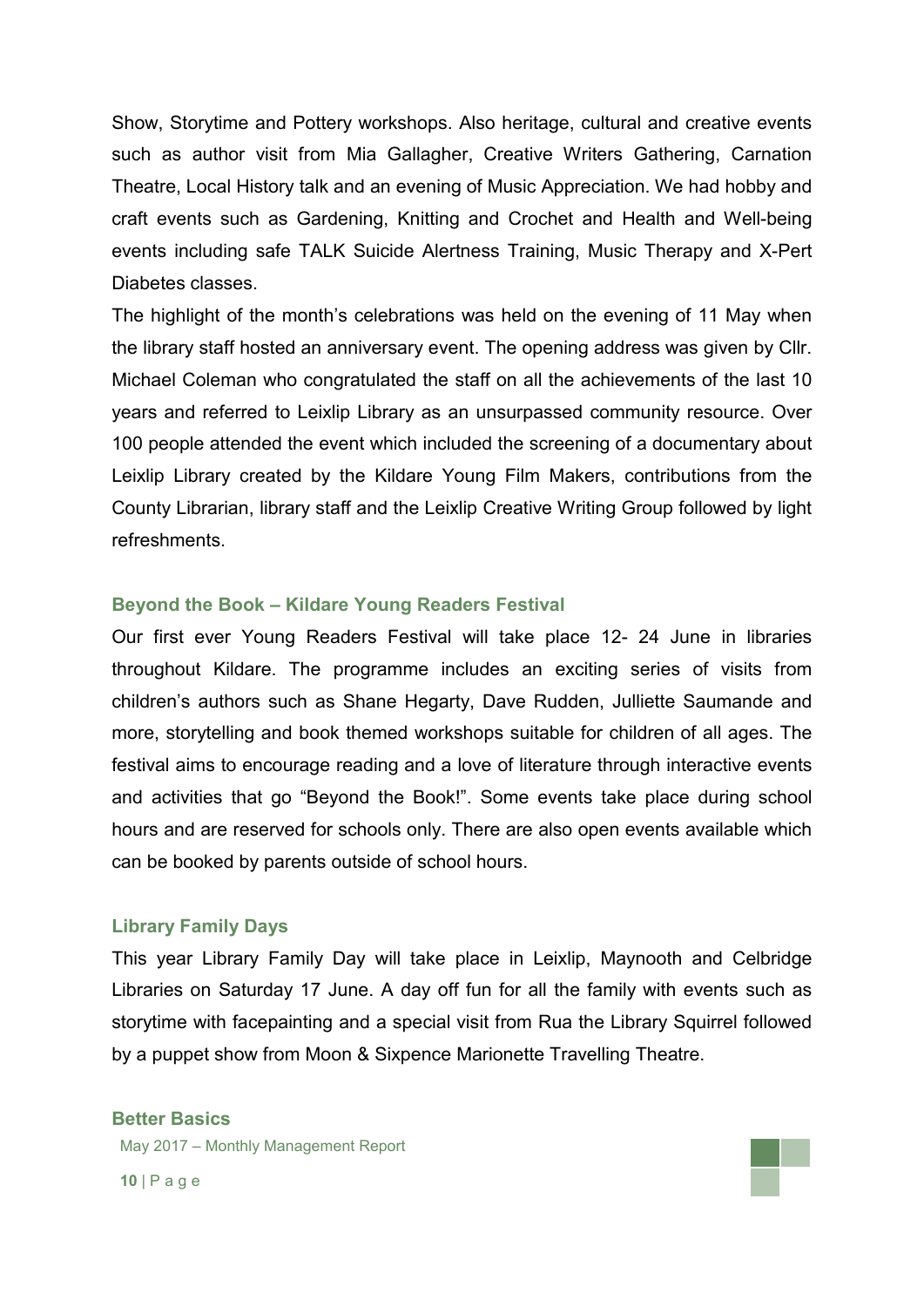Show, Storytime and Pottery workshops. Also heritage, cultural and creative events such as author visit from Mia Gallagher, Creative Writers Gathering, Carnation Theatre, Local History talk and an evening of Music Appreciation. We had hobby and craft events such as Gardening, Knitting and Crochet and Health and Well-being events including safe TALK Suicide Alertness Training, Music Therapy and X-Pert Diabetes classes.

The highlight of the month's celebrations was held on the evening of 11 May when the library staff hosted an anniversary event. The opening address was given by Cllr. Michael Coleman who congratulated the staff on all the achievements of the last 10 years and referred to Leixlip Library as an unsurpassed community resource. Over 100 people attended the event which included the screening of a documentary about Leixlip Library created by the Kildare Young Film Makers, contributions from the County Librarian, library staff and the Leixlip Creative Writing Group followed by light refreshments.

#### **Beyond the Book – Kildare Young Readers Festival**

Our first ever Young Readers Festival will take place 12- 24 June in libraries throughout Kildare. The programme includes an exciting series of visits from children's authors such as Shane Hegarty, Dave Rudden, Julliette Saumande and more, storytelling and book themed workshops suitable for children of all ages. The festival aims to encourage reading and a love of literature through interactive events and activities that go "Beyond the Book!". Some events take place during school hours and are reserved for schools only. There are also open events available which can be booked by parents outside of school hours.

#### **Library Family Days**

This year Library Family Day will take place in Leixlip, Maynooth and Celbridge Libraries on Saturday 17 June. A day off fun for all the family with events such as storytime with facepainting and a special visit from Rua the Library Squirrel followed by a puppet show from Moon & Sixpence Marionette Travelling Theatre.

#### **Better Basics**

May 2017 – Monthly Management Report

**10** | P a g e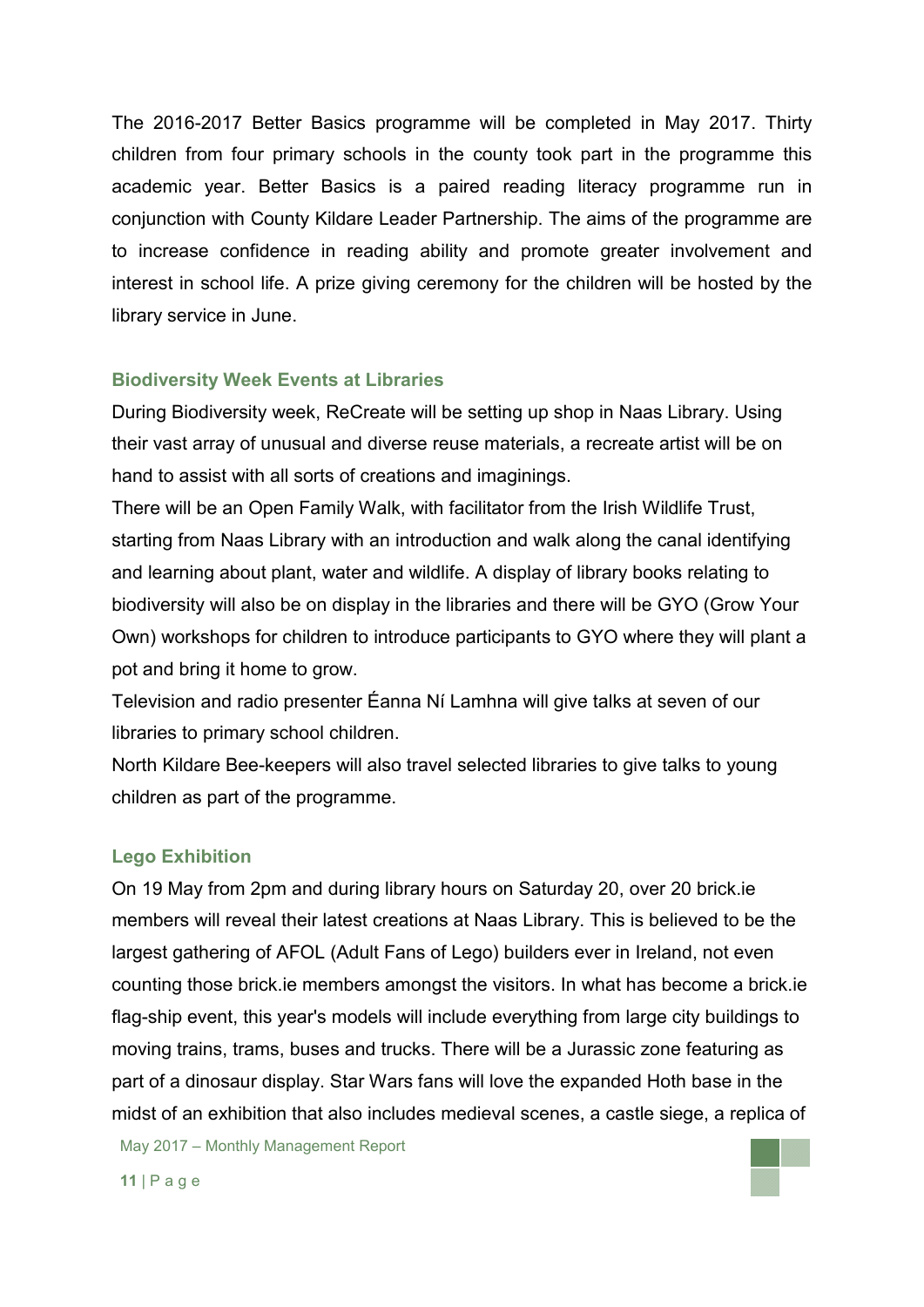The 2016-2017 Better Basics programme will be completed in May 2017. Thirty children from four primary schools in the county took part in the programme this academic year. Better Basics is a paired reading literacy programme run in conjunction with County Kildare Leader Partnership. The aims of the programme are to increase confidence in reading ability and promote greater involvement and interest in school life. A prize giving ceremony for the children will be hosted by the library service in June.

#### **Biodiversity Week Events at Libraries**

During Biodiversity week, ReCreate will be setting up shop in Naas Library. Using their vast array of unusual and diverse reuse materials, a recreate artist will be on hand to assist with all sorts of creations and imaginings.

There will be an Open Family Walk, with facilitator from the Irish Wildlife Trust, starting from Naas Library with an introduction and walk along the canal identifying and learning about plant, water and wildlife. A display of library books relating to biodiversity will also be on display in the libraries and there will be GYO (Grow Your Own) workshops for children to introduce participants to GYO where they will plant a pot and bring it home to grow.

Television and radio presenter Éanna Ní Lamhna will give talks at seven of our libraries to primary school children.

North Kildare Bee-keepers will also travel selected libraries to give talks to young children as part of the programme.

#### **Lego Exhibition**

On 19 May from 2pm and during library hours on Saturday 20, over 20 brick.ie members will reveal their latest creations at Naas Library. This is believed to be the largest gathering of AFOL (Adult Fans of Lego) builders ever in Ireland, not even counting those brick.ie members amongst the visitors. In what has become a brick.ie flag-ship event, this year's models will include everything from large city buildings to moving trains, trams, buses and trucks. There will be a Jurassic zone featuring as part of a dinosaur display. Star Wars fans will love the expanded Hoth base in the midst of an exhibition that also includes medieval scenes, a castle siege, a replica of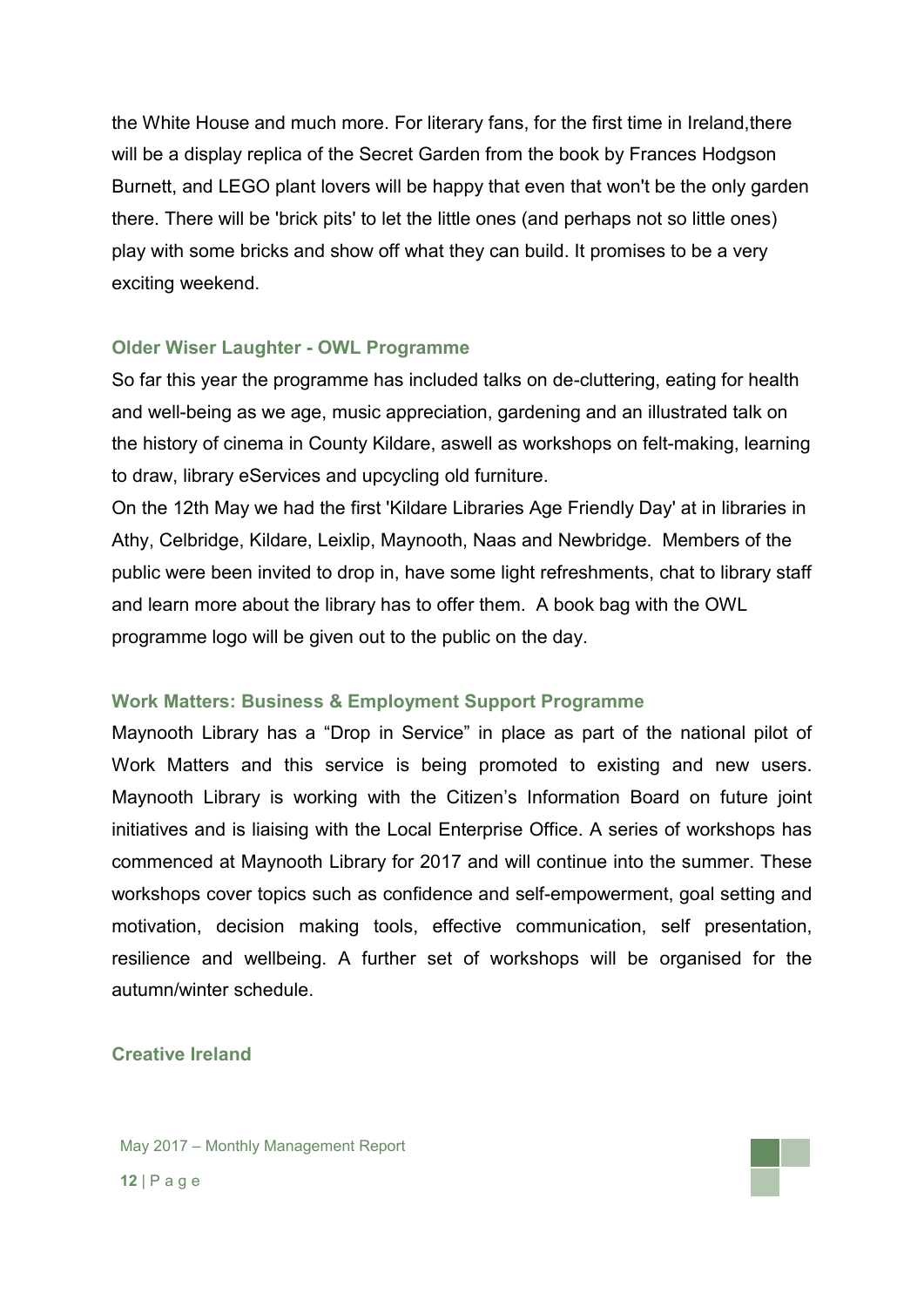the White House and much more. For literary fans, for the first time in Ireland,there will be a display replica of the Secret Garden from the book by Frances Hodgson Burnett, and LEGO plant lovers will be happy that even that won't be the only garden there. There will be 'brick pits' to let the little ones (and perhaps not so little ones) play with some bricks and show off what they can build. It promises to be a very exciting weekend.

#### **Older Wiser Laughter - OWL Programme**

So far this year the programme has included talks on de-cluttering, eating for health and well-being as we age, music appreciation, gardening and an illustrated talk on the history of cinema in County Kildare, aswell as workshops on felt-making, learning to draw, library eServices and upcycling old furniture.

On the 12th May we had the first 'Kildare Libraries Age Friendly Day' at in libraries in Athy, Celbridge, Kildare, Leixlip, Maynooth, Naas and Newbridge. Members of the public were been invited to drop in, have some light refreshments, chat to library staff and learn more about the library has to offer them. A book bag with the OWL programme logo will be given out to the public on the day.

#### **Work Matters: Business & Employment Support Programme**

Maynooth Library has a "Drop in Service" in place as part of the national pilot of Work Matters and this service is being promoted to existing and new users. Maynooth Library is working with the Citizen's Information Board on future joint initiatives and is liaising with the Local Enterprise Office. A series of workshops has commenced at Maynooth Library for 2017 and will continue into the summer. These workshops cover topics such as confidence and self-empowerment, goal setting and motivation, decision making tools, effective communication, self presentation, resilience and wellbeing. A further set of workshops will be organised for the autumn/winter schedule.

#### **Creative Ireland**

May 2017 – Monthly Management Report **12** | P a g e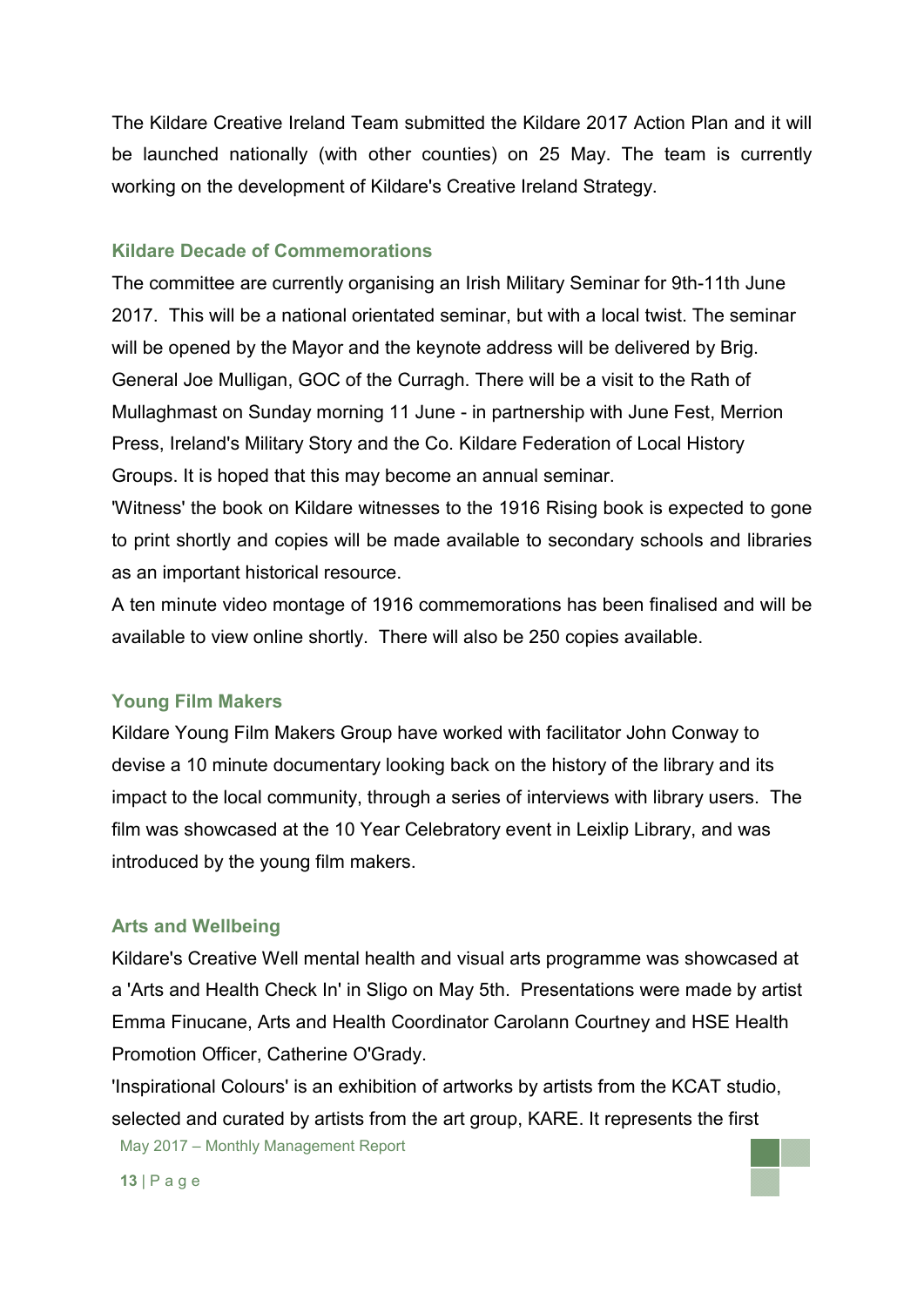The Kildare Creative Ireland Team submitted the Kildare 2017 Action Plan and it will be launched nationally (with other counties) on 25 May. The team is currently working on the development of Kildare's Creative Ireland Strategy.

#### **Kildare Decade of Commemorations**

The committee are currently organising an Irish Military Seminar for 9th-11th June 2017. This will be a national orientated seminar, but with a local twist. The seminar will be opened by the Mayor and the keynote address will be delivered by Brig. General Joe Mulligan, GOC of the Curragh. There will be a visit to the Rath of Mullaghmast on Sunday morning 11 June - in partnership with June Fest, Merrion Press, Ireland's Military Story and the Co. Kildare Federation of Local History Groups. It is hoped that this may become an annual seminar.

'Witness' the book on Kildare witnesses to the 1916 Rising book is expected to gone to print shortly and copies will be made available to secondary schools and libraries as an important historical resource.

A ten minute video montage of 1916 commemorations has been finalised and will be available to view online shortly. There will also be 250 copies available.

## **Young Film Makers**

Kildare Young Film Makers Group have worked with facilitator John Conway to devise a 10 minute documentary looking back on the history of the library and its impact to the local community, through a series of interviews with library users. The film was showcased at the 10 Year Celebratory event in Leixlip Library, and was introduced by the young film makers.

## **Arts and Wellbeing**

Kildare's Creative Well mental health and visual arts programme was showcased at a 'Arts and Health Check In' in Sligo on May 5th. Presentations were made by artist Emma Finucane, Arts and Health Coordinator Carolann Courtney and HSE Health Promotion Officer, Catherine O'Grady.

May 2017 – Monthly Management Report 'Inspirational Colours' is an exhibition of artworks by artists from the KCAT studio, selected and curated by artists from the art group, KARE. It represents the first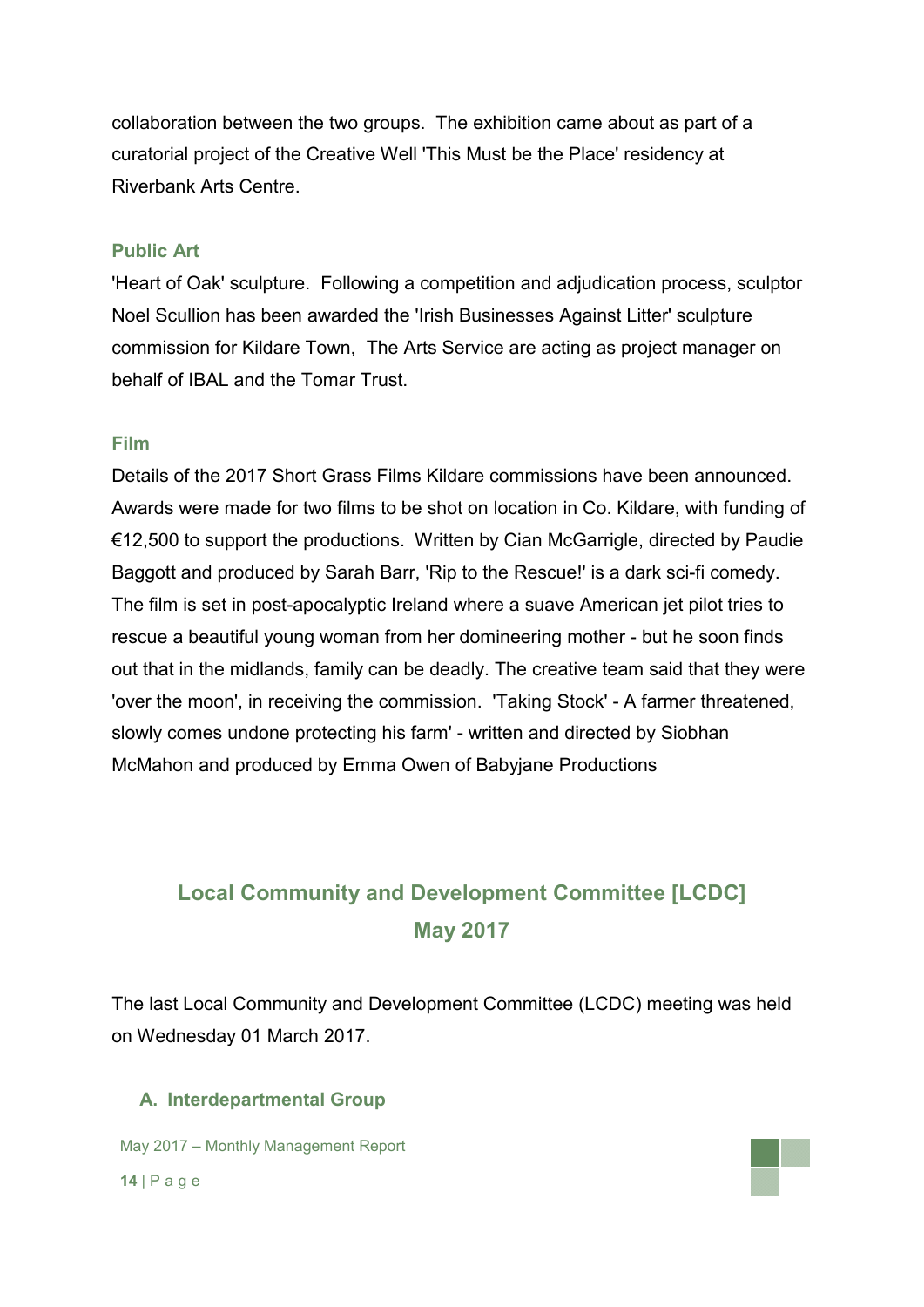collaboration between the two groups. The exhibition came about as part of a curatorial project of the Creative Well 'This Must be the Place' residency at Riverbank Arts Centre.

#### **Public Art**

'Heart of Oak' sculpture. Following a competition and adjudication process, sculptor Noel Scullion has been awarded the 'Irish Businesses Against Litter' sculpture commission for Kildare Town, The Arts Service are acting as project manager on behalf of IBAL and the Tomar Trust.

#### **Film**

Details of the 2017 Short Grass Films Kildare commissions have been announced. Awards were made for two films to be shot on location in Co. Kildare, with funding of €12,500 to support the productions. Written by Cian McGarrigle, directed by Paudie Baggott and produced by Sarah Barr, 'Rip to the Rescue!' is a dark sci-fi comedy. The film is set in post-apocalyptic Ireland where a suave American jet pilot tries to rescue a beautiful young woman from her domineering mother - but he soon finds out that in the midlands, family can be deadly. The creative team said that they were 'over the moon', in receiving the commission. 'Taking Stock' - A farmer threatened, slowly comes undone protecting his farm' - written and directed by Siobhan McMahon and produced by Emma Owen of Babyjane Productions

# **Local Community and Development Committee [LCDC] May 2017**

The last Local Community and Development Committee (LCDC) meeting was held on Wednesday 01 March 2017.

#### **A. Interdepartmental Group**

May 2017 – Monthly Management Report

**14** | P a g e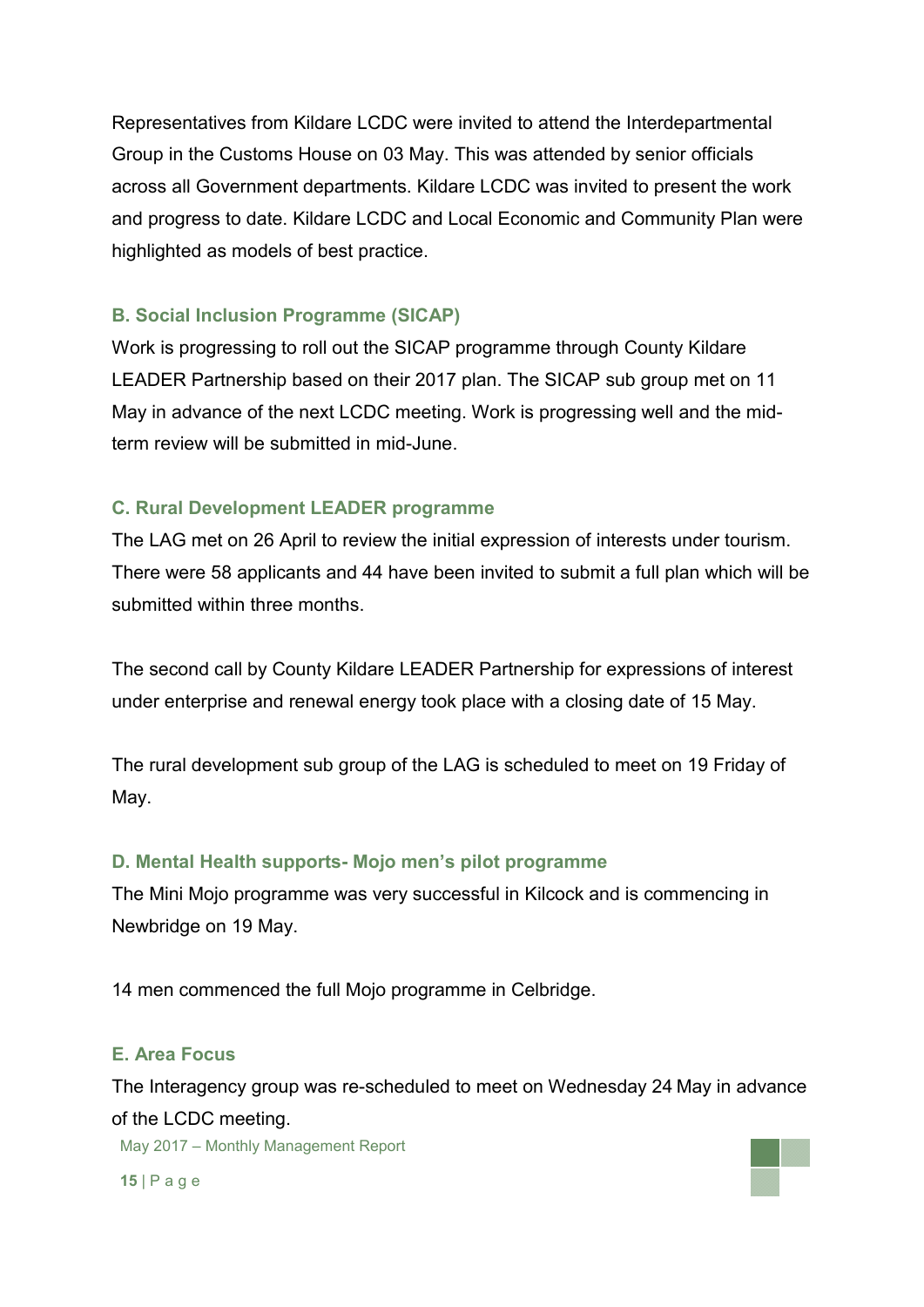Representatives from Kildare LCDC were invited to attend the Interdepartmental Group in the Customs House on 03 May. This was attended by senior officials across all Government departments. Kildare LCDC was invited to present the work and progress to date. Kildare LCDC and Local Economic and Community Plan were highlighted as models of best practice.

## **B. Social Inclusion Programme (SICAP)**

Work is progressing to roll out the SICAP programme through County Kildare LEADER Partnership based on their 2017 plan. The SICAP sub group met on 11 May in advance of the next LCDC meeting. Work is progressing well and the midterm review will be submitted in mid-June.

## **C. Rural Development LEADER programme**

The LAG met on 26 April to review the initial expression of interests under tourism. There were 58 applicants and 44 have been invited to submit a full plan which will be submitted within three months.

The second call by County Kildare LEADER Partnership for expressions of interest under enterprise and renewal energy took place with a closing date of 15 May.

The rural development sub group of the LAG is scheduled to meet on 19 Friday of May.

## **D. Mental Health supports- Mojo men's pilot programme**

The Mini Mojo programme was very successful in Kilcock and is commencing in Newbridge on 19 May.

14 men commenced the full Mojo programme in Celbridge.

## **E. Area Focus**

The Interagency group was re-scheduled to meet on Wednesday 24 May in advance of the LCDC meeting.

May 2017 – Monthly Management Report

**15** | P a g e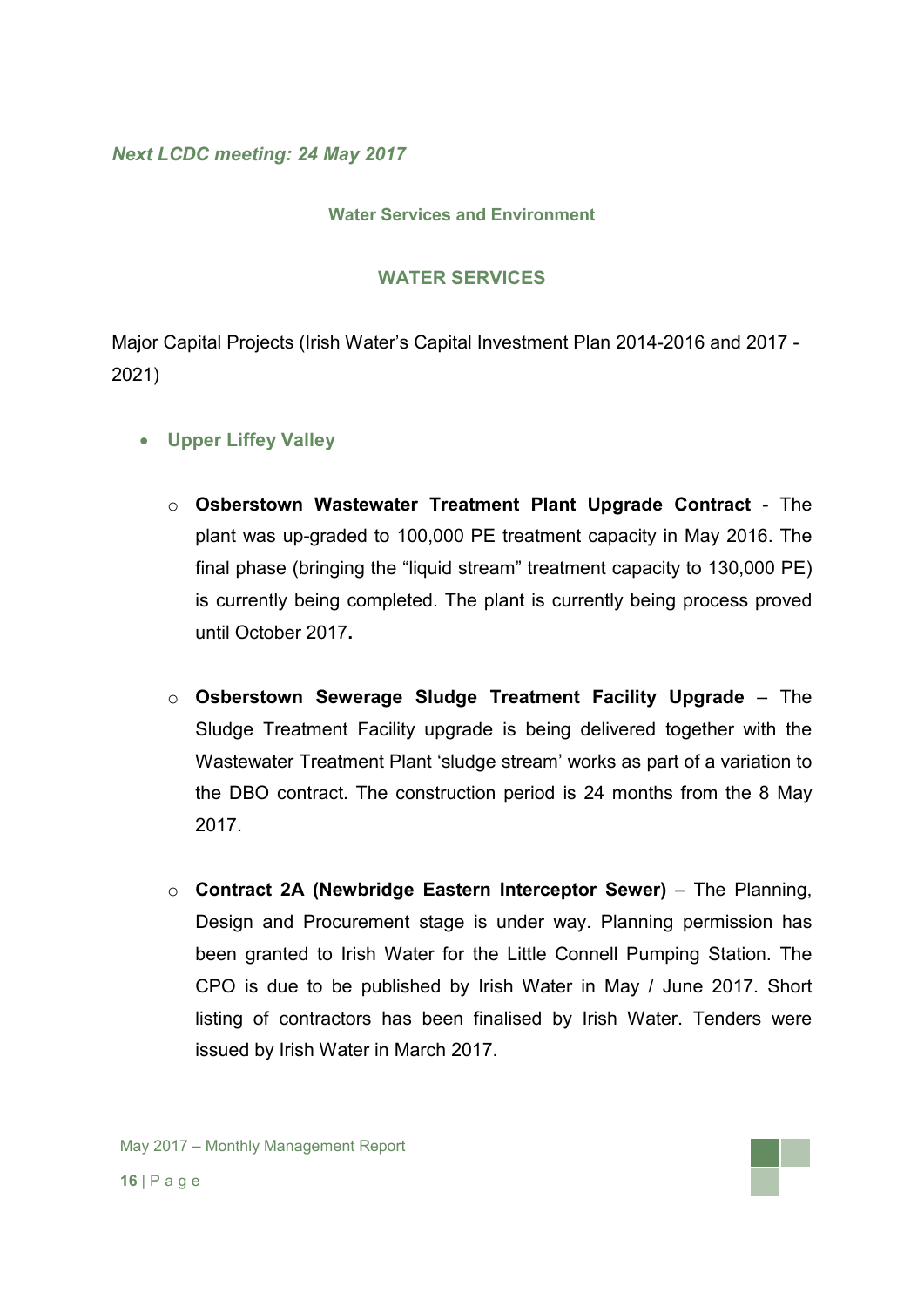*Next LCDC meeting: 24 May 2017*

#### **Water Services and Environment**

#### **WATER SERVICES**

Major Capital Projects (Irish Water's Capital Investment Plan 2014-2016 and 2017 - 2021)

- **Upper Liffey Valley** 
	- o **Osberstown Wastewater Treatment Plant Upgrade Contract** The plant was up-graded to 100,000 PE treatment capacity in May 2016. The final phase (bringing the "liquid stream" treatment capacity to 130,000 PE) is currently being completed. The plant is currently being process proved until October 2017**.**
	- o **Osberstown Sewerage Sludge Treatment Facility Upgrade** The Sludge Treatment Facility upgrade is being delivered together with the Wastewater Treatment Plant 'sludge stream' works as part of a variation to the DBO contract. The construction period is 24 months from the 8 May 2017.
	- o **Contract 2A (Newbridge Eastern Interceptor Sewer)** The Planning, Design and Procurement stage is under way. Planning permission has been granted to Irish Water for the Little Connell Pumping Station. The CPO is due to be published by Irish Water in May / June 2017. Short listing of contractors has been finalised by Irish Water. Tenders were issued by Irish Water in March 2017.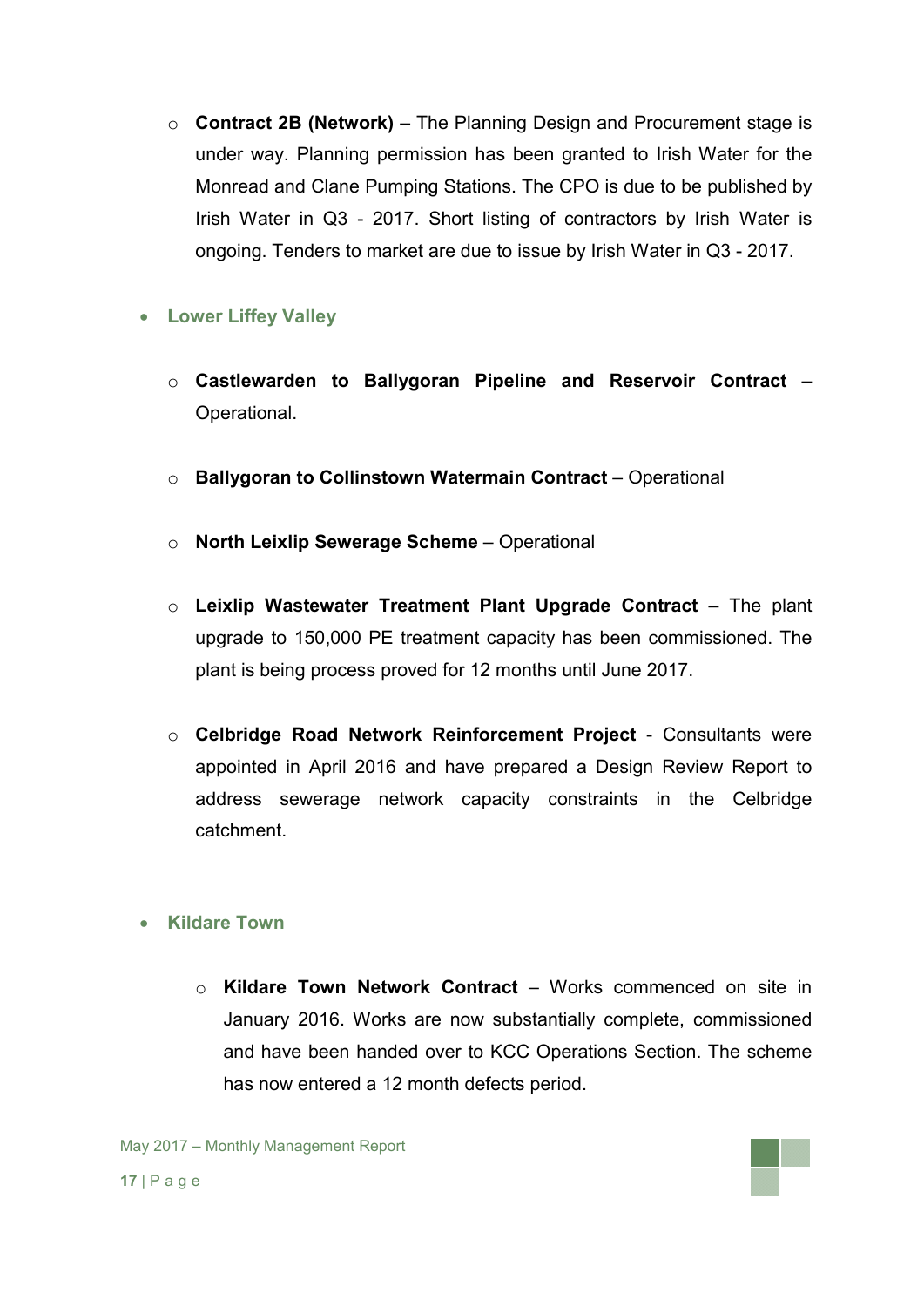o **Contract 2B (Network)** – The Planning Design and Procurement stage is under way. Planning permission has been granted to Irish Water for the Monread and Clane Pumping Stations. The CPO is due to be published by Irish Water in Q3 - 2017. Short listing of contractors by Irish Water is ongoing. Tenders to market are due to issue by Irish Water in Q3 - 2017.

## **Lower Liffey Valley**

- o **Castlewarden to Ballygoran Pipeline and Reservoir Contract** Operational.
- o **Ballygoran to Collinstown Watermain Contract** Operational
- o **North Leixlip Sewerage Scheme** Operational
- o **Leixlip Wastewater Treatment Plant Upgrade Contract** The plant upgrade to 150,000 PE treatment capacity has been commissioned. The plant is being process proved for 12 months until June 2017.
- o **Celbridge Road Network Reinforcement Project**  Consultants were appointed in April 2016 and have prepared a Design Review Report to address sewerage network capacity constraints in the Celbridge catchment.

## **Kildare Town**

o **Kildare Town Network Contract** – Works commenced on site in January 2016. Works are now substantially complete, commissioned and have been handed over to KCC Operations Section. The scheme has now entered a 12 month defects period.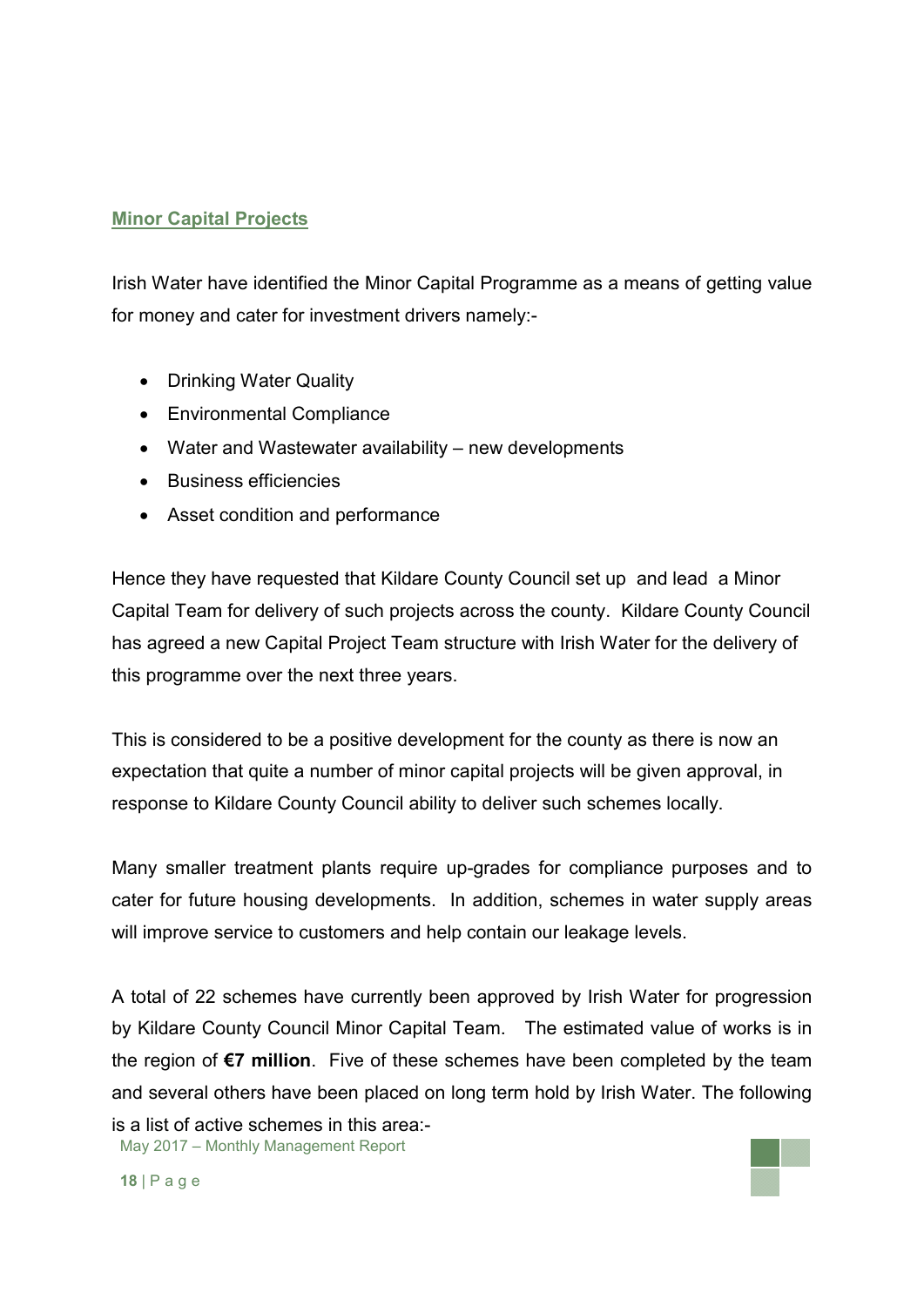### **Minor Capital Projects**

Irish Water have identified the Minor Capital Programme as a means of getting value for money and cater for investment drivers namely:-

- Drinking Water Quality
- Environmental Compliance
- Water and Wastewater availability new developments
- Business efficiencies
- Asset condition and performance

Hence they have requested that Kildare County Council set up and lead a Minor Capital Team for delivery of such projects across the county. Kildare County Council has agreed a new Capital Project Team structure with Irish Water for the delivery of this programme over the next three years.

This is considered to be a positive development for the county as there is now an expectation that quite a number of minor capital projects will be given approval, in response to Kildare County Council ability to deliver such schemes locally.

Many smaller treatment plants require up-grades for compliance purposes and to cater for future housing developments. In addition, schemes in water supply areas will improve service to customers and help contain our leakage levels.

May 2017 – Monthly Management Report A total of 22 schemes have currently been approved by Irish Water for progression by Kildare County Council Minor Capital Team. The estimated value of works is in the region of **€7 million**. Five of these schemes have been completed by the team and several others have been placed on long term hold by Irish Water. The following is a list of active schemes in this area:-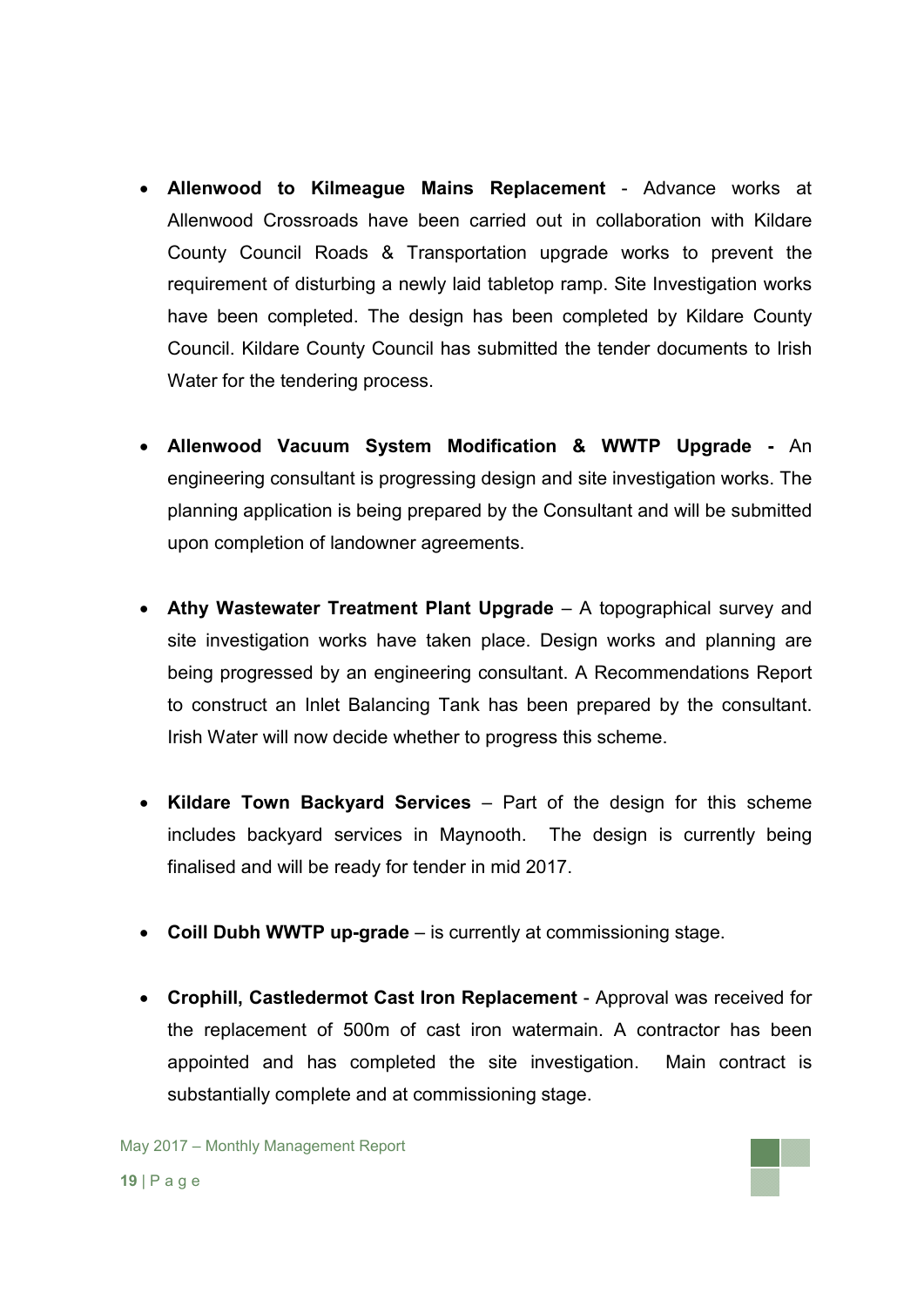- **Allenwood to Kilmeague Mains Replacement** Advance works at Allenwood Crossroads have been carried out in collaboration with Kildare County Council Roads & Transportation upgrade works to prevent the requirement of disturbing a newly laid tabletop ramp. Site Investigation works have been completed. The design has been completed by Kildare County Council. Kildare County Council has submitted the tender documents to Irish Water for the tendering process.
- **Allenwood Vacuum System Modification & WWTP Upgrade -** An engineering consultant is progressing design and site investigation works. The planning application is being prepared by the Consultant and will be submitted upon completion of landowner agreements.
- **Athy Wastewater Treatment Plant Upgrade** A topographical survey and site investigation works have taken place. Design works and planning are being progressed by an engineering consultant. A Recommendations Report to construct an Inlet Balancing Tank has been prepared by the consultant. Irish Water will now decide whether to progress this scheme.
- **Kildare Town Backyard Services** Part of the design for this scheme includes backyard services in Maynooth. The design is currently being finalised and will be ready for tender in mid 2017.
- **Coill Dubh WWTP up-grade** is currently at commissioning stage.
- **Crophill, Castledermot Cast Iron Replacement**  Approval was received for the replacement of 500m of cast iron watermain. A contractor has been appointed and has completed the site investigation. Main contract is substantially complete and at commissioning stage.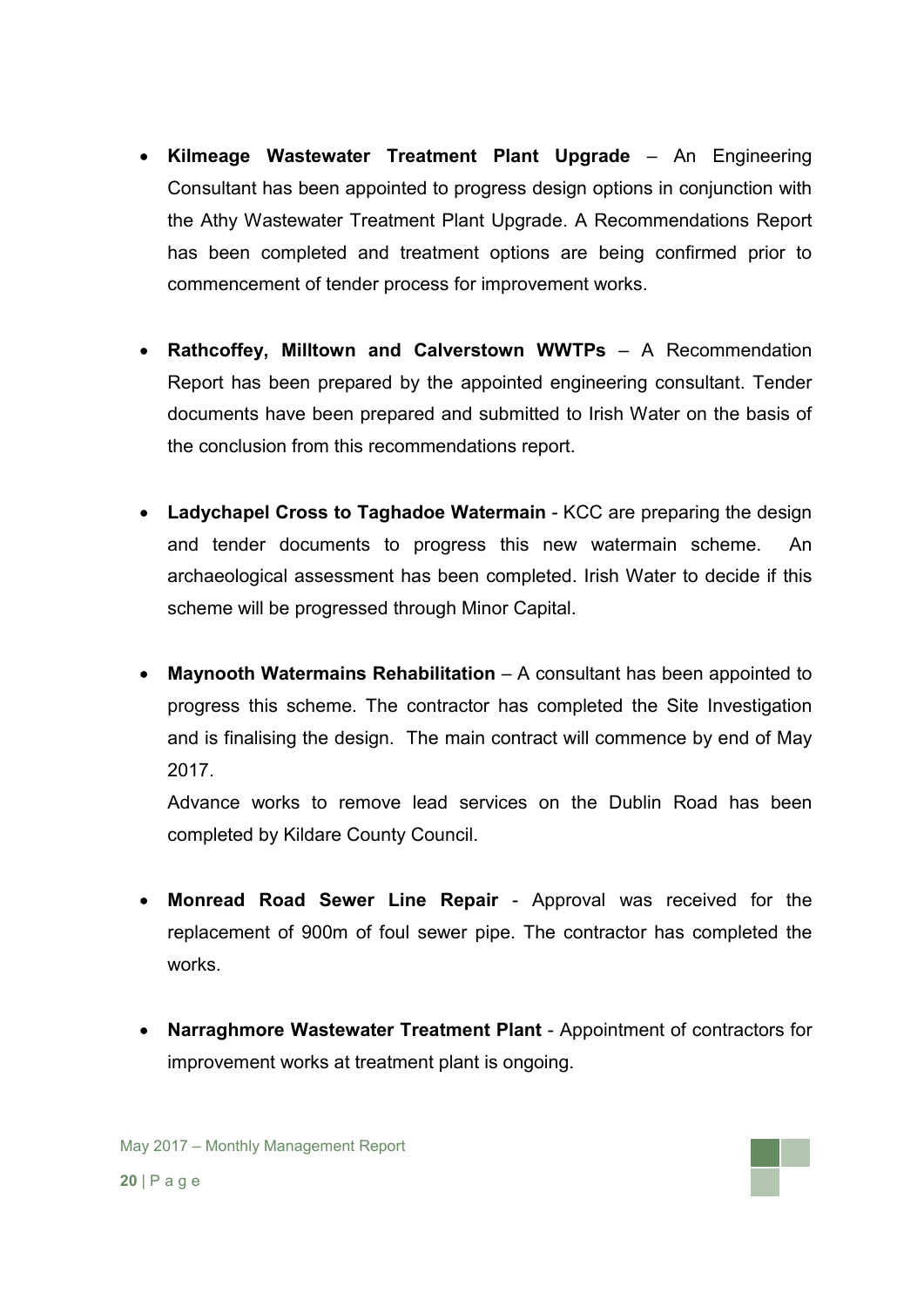- **Kilmeage Wastewater Treatment Plant Upgrade** An Engineering Consultant has been appointed to progress design options in conjunction with the Athy Wastewater Treatment Plant Upgrade. A Recommendations Report has been completed and treatment options are being confirmed prior to commencement of tender process for improvement works.
- **Rathcoffey, Milltown and Calverstown WWTPs** A Recommendation Report has been prepared by the appointed engineering consultant. Tender documents have been prepared and submitted to Irish Water on the basis of the conclusion from this recommendations report.
- **Ladychapel Cross to Taghadoe Watermain** KCC are preparing the design and tender documents to progress this new watermain scheme. An archaeological assessment has been completed. Irish Water to decide if this scheme will be progressed through Minor Capital.
- **Maynooth Watermains Rehabilitation** A consultant has been appointed to progress this scheme. The contractor has completed the Site Investigation and is finalising the design. The main contract will commence by end of May 2017.

Advance works to remove lead services on the Dublin Road has been completed by Kildare County Council.

- **Monread Road Sewer Line Repair**  Approval was received for the replacement of 900m of foul sewer pipe. The contractor has completed the works.
- **Narraghmore Wastewater Treatment Plant**  Appointment of contractors for improvement works at treatment plant is ongoing.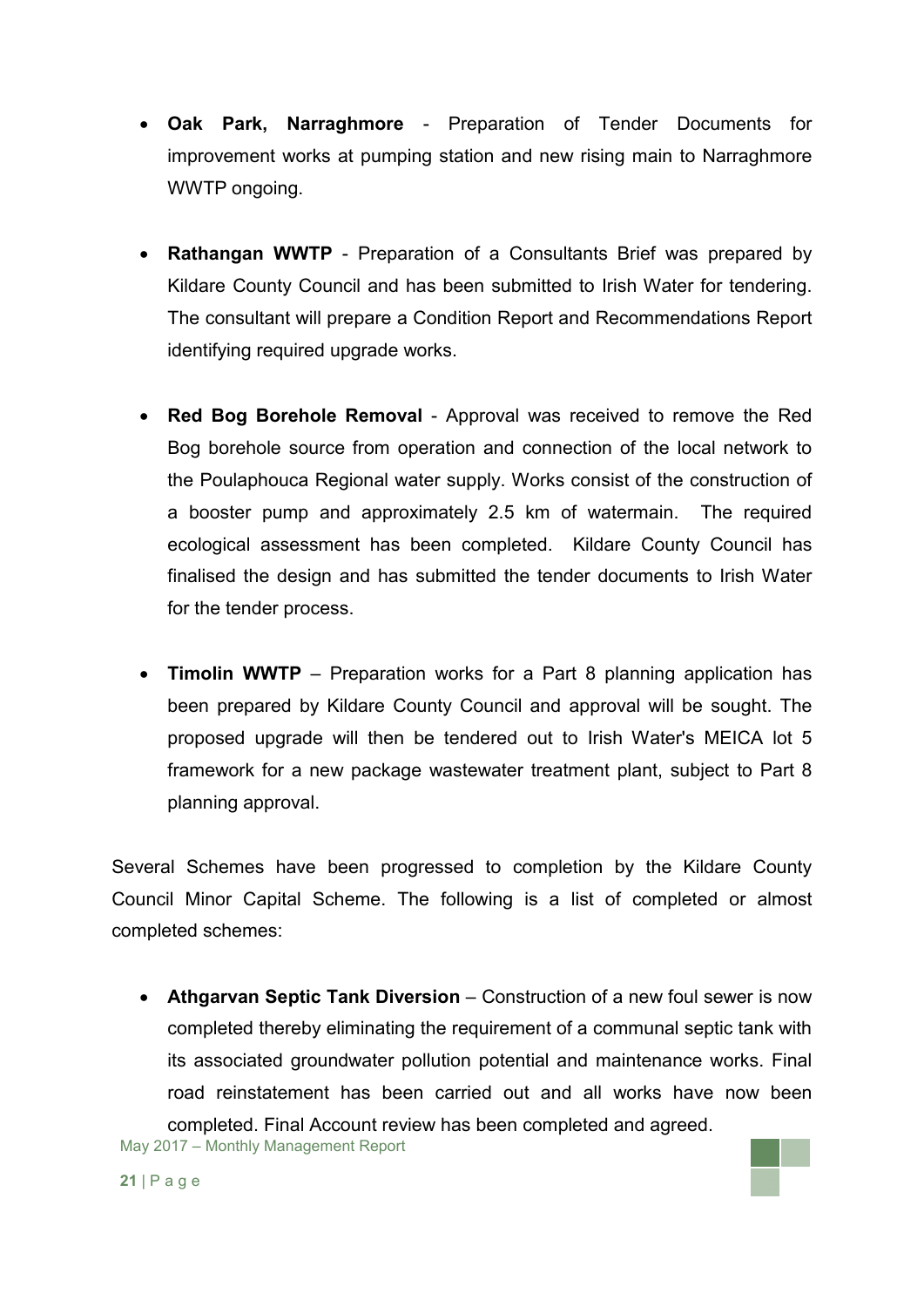- **Oak Park, Narraghmore**  Preparation of Tender Documents for improvement works at pumping station and new rising main to Narraghmore WWTP ongoing.
- **Rathangan WWTP** Preparation of a Consultants Brief was prepared by Kildare County Council and has been submitted to Irish Water for tendering. The consultant will prepare a Condition Report and Recommendations Report identifying required upgrade works.
- **Red Bog Borehole Removal**  Approval was received to remove the Red Bog borehole source from operation and connection of the local network to the Poulaphouca Regional water supply. Works consist of the construction of a booster pump and approximately 2.5 km of watermain. The required ecological assessment has been completed. Kildare County Council has finalised the design and has submitted the tender documents to Irish Water for the tender process.
- **Timolin WWTP** Preparation works for a Part 8 planning application has been prepared by Kildare County Council and approval will be sought. The proposed upgrade will then be tendered out to Irish Water's MEICA lot 5 framework for a new package wastewater treatment plant, subject to Part 8 planning approval.

Several Schemes have been progressed to completion by the Kildare County Council Minor Capital Scheme. The following is a list of completed or almost completed schemes:

 **Athgarvan Septic Tank Diversion** – Construction of a new foul sewer is now completed thereby eliminating the requirement of a communal septic tank with its associated groundwater pollution potential and maintenance works. Final road reinstatement has been carried out and all works have now been completed. Final Account review has been completed and agreed.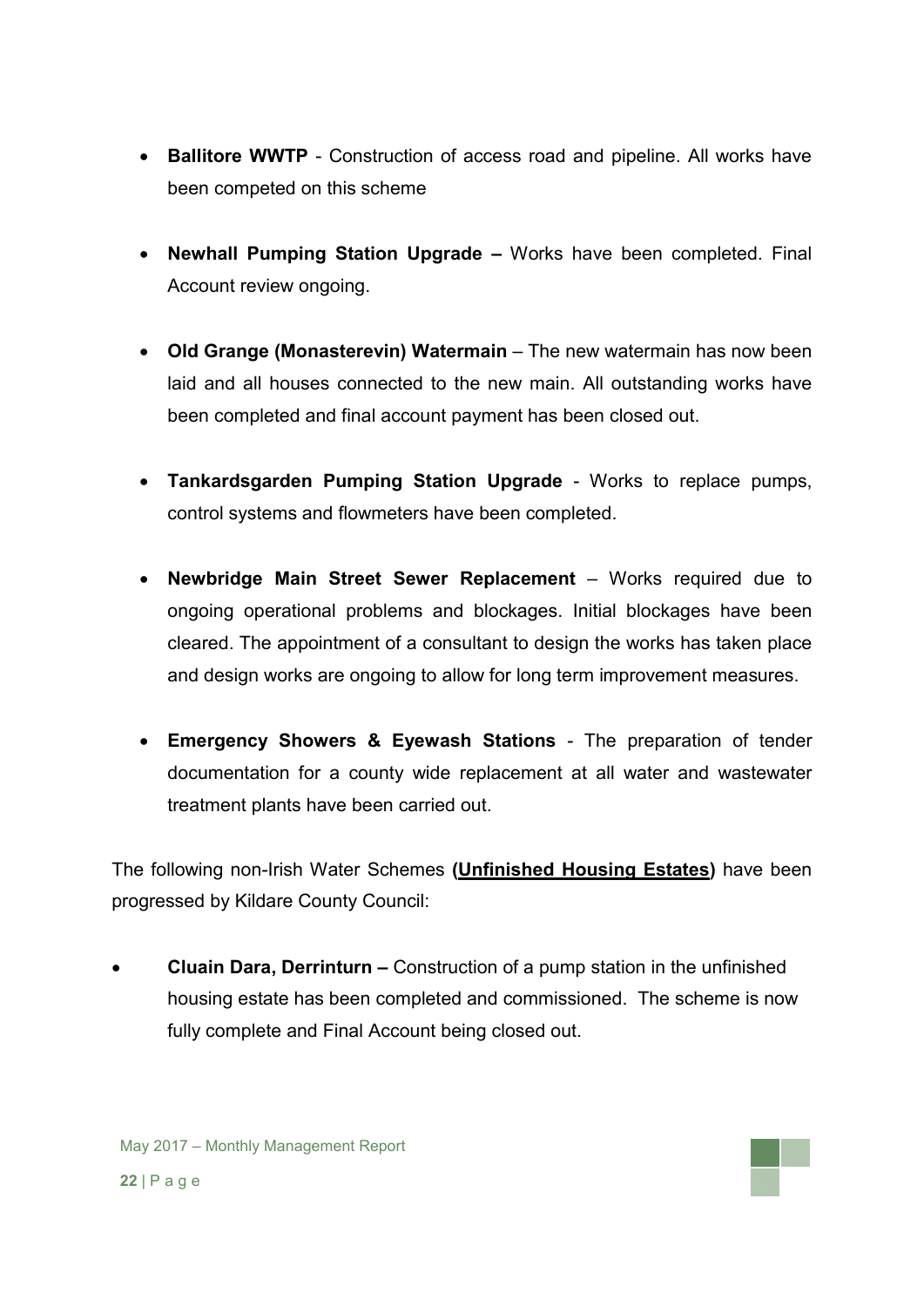- **Ballitore WWTP** Construction of access road and pipeline. All works have been competed on this scheme
- **Newhall Pumping Station Upgrade –** Works have been completed. Final Account review ongoing.
- **Old Grange (Monasterevin) Watermain** The new watermain has now been laid and all houses connected to the new main. All outstanding works have been completed and final account payment has been closed out.
- **Tankardsgarden Pumping Station Upgrade** Works to replace pumps, control systems and flowmeters have been completed.
- **Newbridge Main Street Sewer Replacement** Works required due to ongoing operational problems and blockages. Initial blockages have been cleared. The appointment of a consultant to design the works has taken place and design works are ongoing to allow for long term improvement measures.
- **Emergency Showers & Eyewash Stations** The preparation of tender documentation for a county wide replacement at all water and wastewater treatment plants have been carried out.

The following non-Irish Water Schemes **(Unfinished Housing Estates)** have been progressed by Kildare County Council:

 **Cluain Dara, Derrinturn –** Construction of a pump station in the unfinished housing estate has been completed and commissioned. The scheme is now fully complete and Final Account being closed out.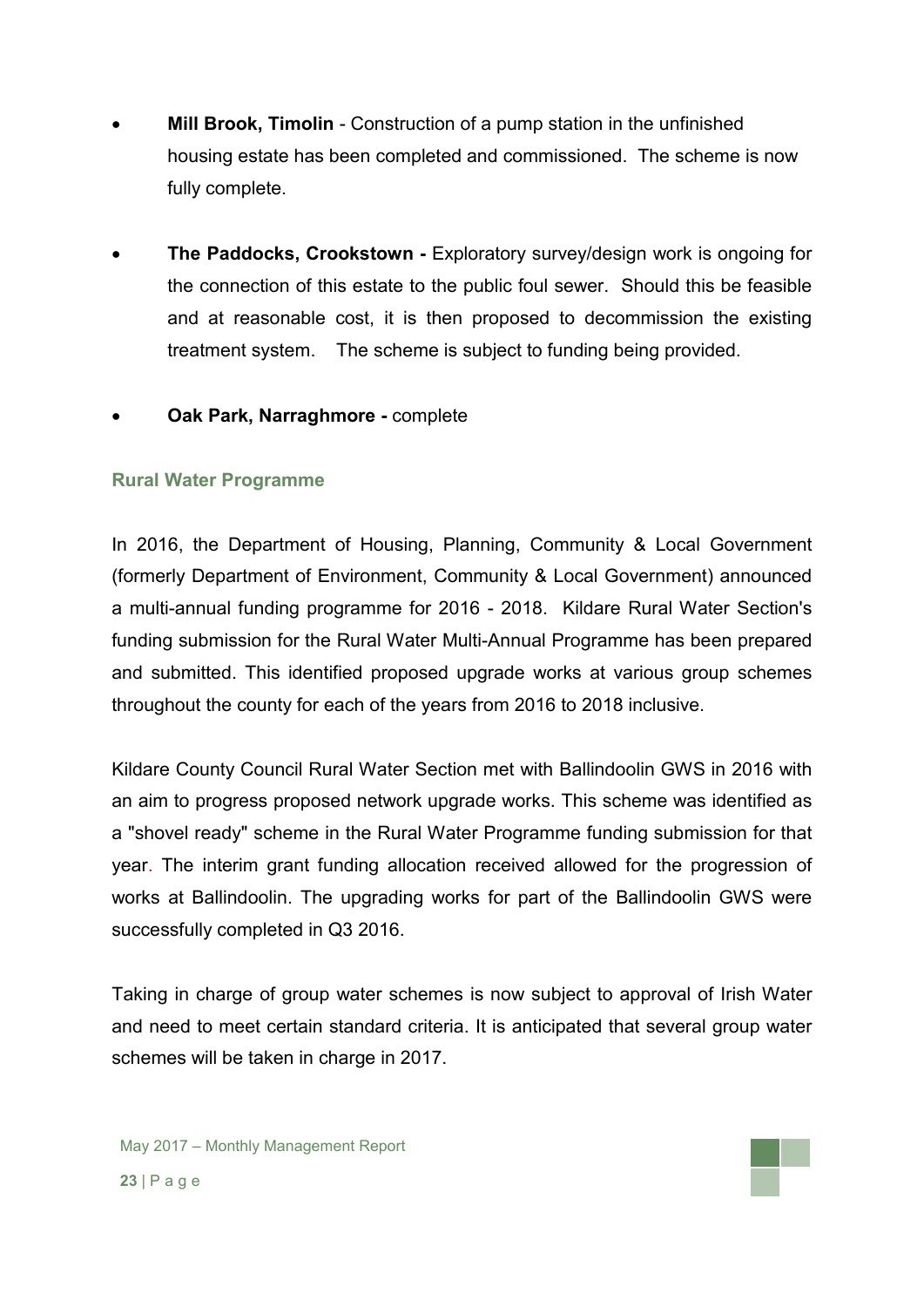- **Mill Brook, Timolin** Construction of a pump station in the unfinished housing estate has been completed and commissioned. The scheme is now fully complete.
- **The Paddocks, Crookstown -** Exploratory survey/design work is ongoing for the connection of this estate to the public foul sewer. Should this be feasible and at reasonable cost, it is then proposed to decommission the existing treatment system. The scheme is subject to funding being provided.
- **Oak Park, Narraghmore -** complete

### **Rural Water Programme**

In 2016, the Department of Housing, Planning, Community & Local Government (formerly Department of Environment, Community & Local Government) announced a multi-annual funding programme for 2016 - 2018. Kildare Rural Water Section's funding submission for the Rural Water Multi-Annual Programme has been prepared and submitted. This identified proposed upgrade works at various group schemes throughout the county for each of the years from 2016 to 2018 inclusive.

Kildare County Council Rural Water Section met with Ballindoolin GWS in 2016 with an aim to progress proposed network upgrade works. This scheme was identified as a "shovel ready" scheme in the Rural Water Programme funding submission for that year. The interim grant funding allocation received allowed for the progression of works at Ballindoolin. The upgrading works for part of the Ballindoolin GWS were successfully completed in Q3 2016.

Taking in charge of group water schemes is now subject to approval of Irish Water and need to meet certain standard criteria. It is anticipated that several group water schemes will be taken in charge in 2017.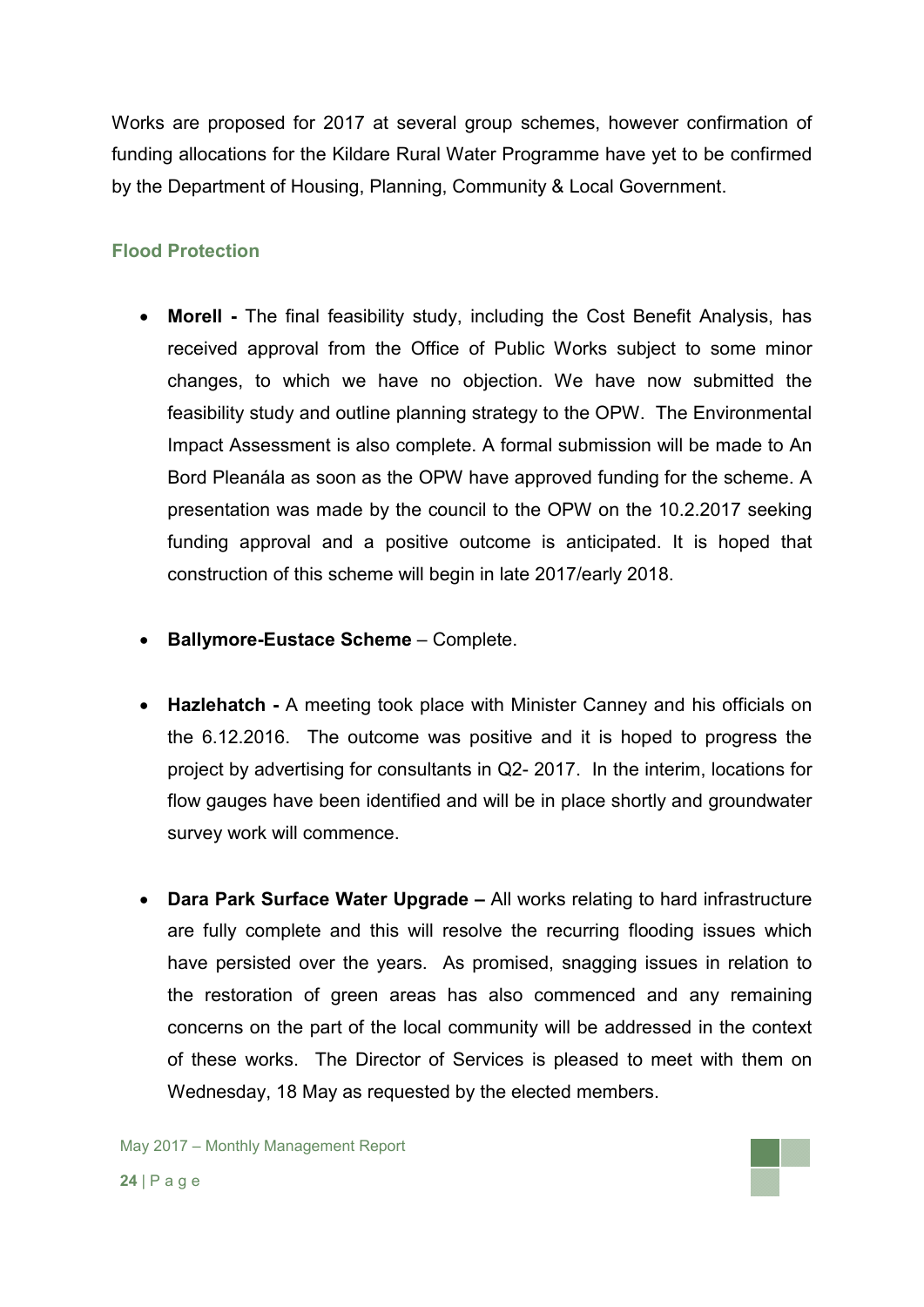Works are proposed for 2017 at several group schemes, however confirmation of funding allocations for the Kildare Rural Water Programme have yet to be confirmed by the Department of Housing, Planning, Community & Local Government.

### **Flood Protection**

- **Morell -** The final feasibility study, including the Cost Benefit Analysis, has received approval from the Office of Public Works subject to some minor changes, to which we have no objection. We have now submitted the feasibility study and outline planning strategy to the OPW. The Environmental Impact Assessment is also complete. A formal submission will be made to An Bord Pleanála as soon as the OPW have approved funding for the scheme. A presentation was made by the council to the OPW on the 10.2.2017 seeking funding approval and a positive outcome is anticipated. It is hoped that construction of this scheme will begin in late 2017/early 2018.
- **Ballymore-Eustace Scheme** Complete.
- **Hazlehatch -** A meeting took place with Minister Canney and his officials on the 6.12.2016. The outcome was positive and it is hoped to progress the project by advertising for consultants in Q2- 2017. In the interim, locations for flow gauges have been identified and will be in place shortly and groundwater survey work will commence.
- **Dara Park Surface Water Upgrade –** All works relating to hard infrastructure are fully complete and this will resolve the recurring flooding issues which have persisted over the years. As promised, snagging issues in relation to the restoration of green areas has also commenced and any remaining concerns on the part of the local community will be addressed in the context of these works. The Director of Services is pleased to meet with them on Wednesday, 18 May as requested by the elected members.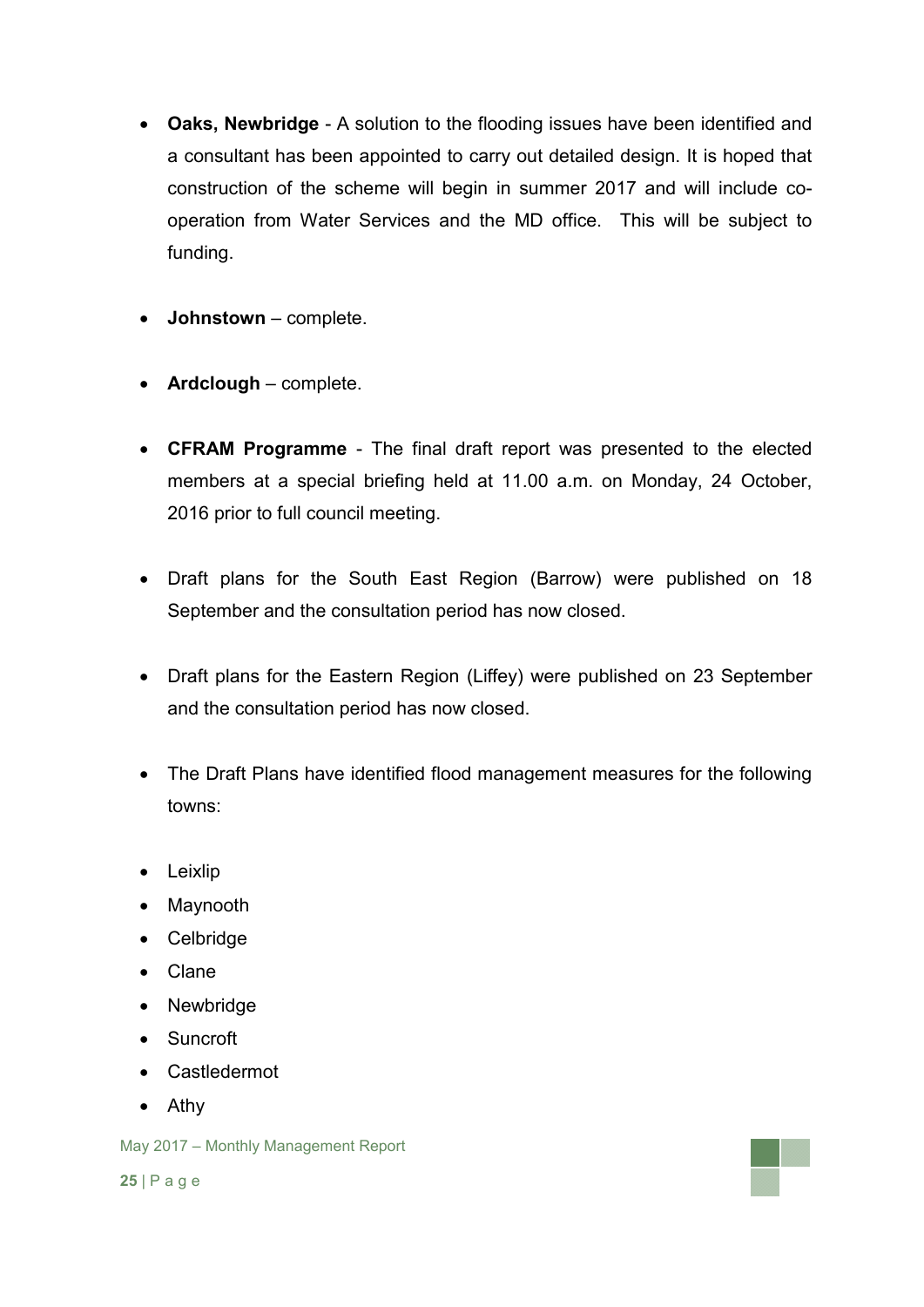- **Oaks, Newbridge** A solution to the flooding issues have been identified and a consultant has been appointed to carry out detailed design. It is hoped that construction of the scheme will begin in summer 2017 and will include cooperation from Water Services and the MD office. This will be subject to funding.
- **Johnstown**  complete.
- **Ardclough** complete.
- **CFRAM Programme** The final draft report was presented to the elected members at a special briefing held at 11.00 a.m. on Monday, 24 October, 2016 prior to full council meeting.
- Draft plans for the South East Region (Barrow) were published on 18 September and the consultation period has now closed.
- Draft plans for the Eastern Region (Liffey) were published on 23 September and the consultation period has now closed.
- The Draft Plans have identified flood management measures for the following towns:
- Leixlip
- Maynooth
- Celbridge
- Clane
- Newbridge
- Suncroft
- Castledermot
- Athy

May 2017 – Monthly Management Report

**25** | P a g e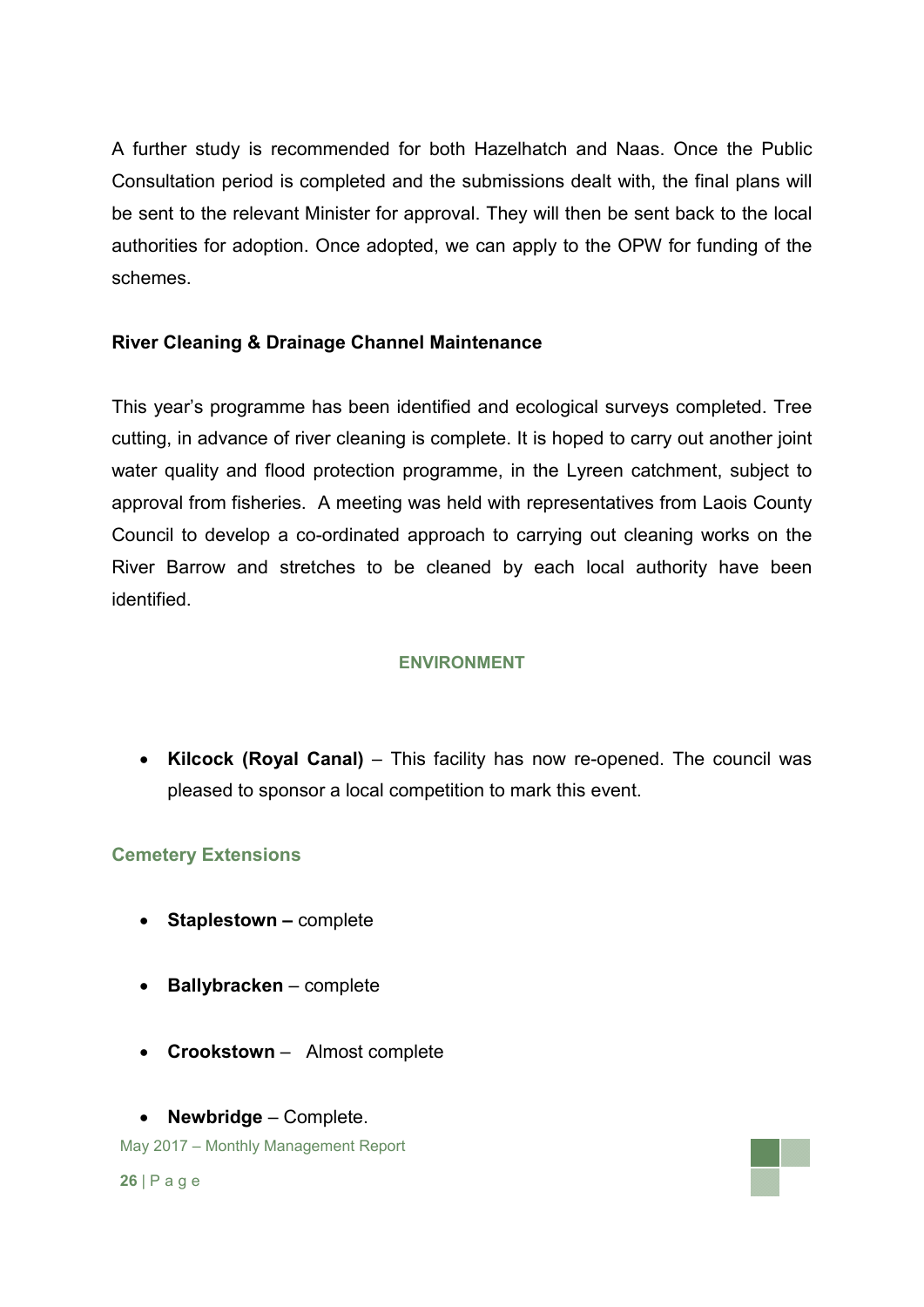A further study is recommended for both Hazelhatch and Naas. Once the Public Consultation period is completed and the submissions dealt with, the final plans will be sent to the relevant Minister for approval. They will then be sent back to the local authorities for adoption. Once adopted, we can apply to the OPW for funding of the schemes.

## **River Cleaning & Drainage Channel Maintenance**

This year's programme has been identified and ecological surveys completed. Tree cutting, in advance of river cleaning is complete. It is hoped to carry out another joint water quality and flood protection programme, in the Lyreen catchment, subject to approval from fisheries. A meeting was held with representatives from Laois County Council to develop a co-ordinated approach to carrying out cleaning works on the River Barrow and stretches to be cleaned by each local authority have been identified.

#### **ENVIRONMENT**

 **Kilcock (Royal Canal)** – This facility has now re-opened. The council was pleased to sponsor a local competition to mark this event.

#### **Cemetery Extensions**

- **Staplestown –** complete
- **Ballybracken** complete
- **Crookstown**  Almost complete
- **Newbridge**  Complete.

May 2017 – Monthly Management Report

**26** | P a g e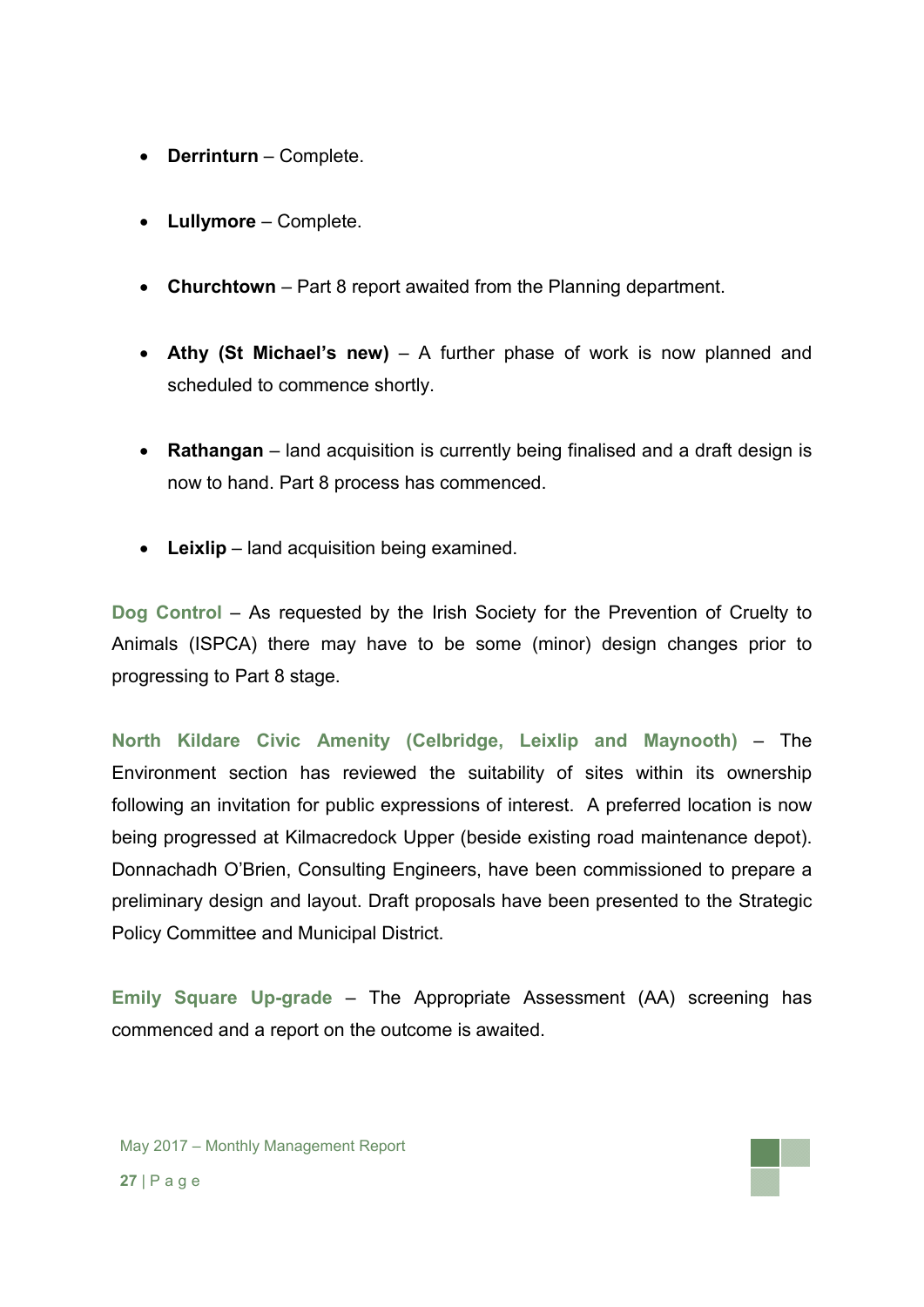- **Derrinturn** Complete.
- **Lullymore** Complete.
- **Churchtown** Part 8 report awaited from the Planning department.
- **Athy (St Michael's new)** A further phase of work is now planned and scheduled to commence shortly.
- **Rathangan** land acquisition is currently being finalised and a draft design is now to hand. Part 8 process has commenced.
- **Leixlip** land acquisition being examined.

**Dog Control** – As requested by the Irish Society for the Prevention of Cruelty to Animals (ISPCA) there may have to be some (minor) design changes prior to progressing to Part 8 stage.

**North Kildare Civic Amenity (Celbridge, Leixlip and Maynooth)** – The Environment section has reviewed the suitability of sites within its ownership following an invitation for public expressions of interest. A preferred location is now being progressed at Kilmacredock Upper (beside existing road maintenance depot). Donnachadh O'Brien, Consulting Engineers, have been commissioned to prepare a preliminary design and layout. Draft proposals have been presented to the Strategic Policy Committee and Municipal District.

**Emily Square Up-grade** – The Appropriate Assessment (AA) screening has commenced and a report on the outcome is awaited.

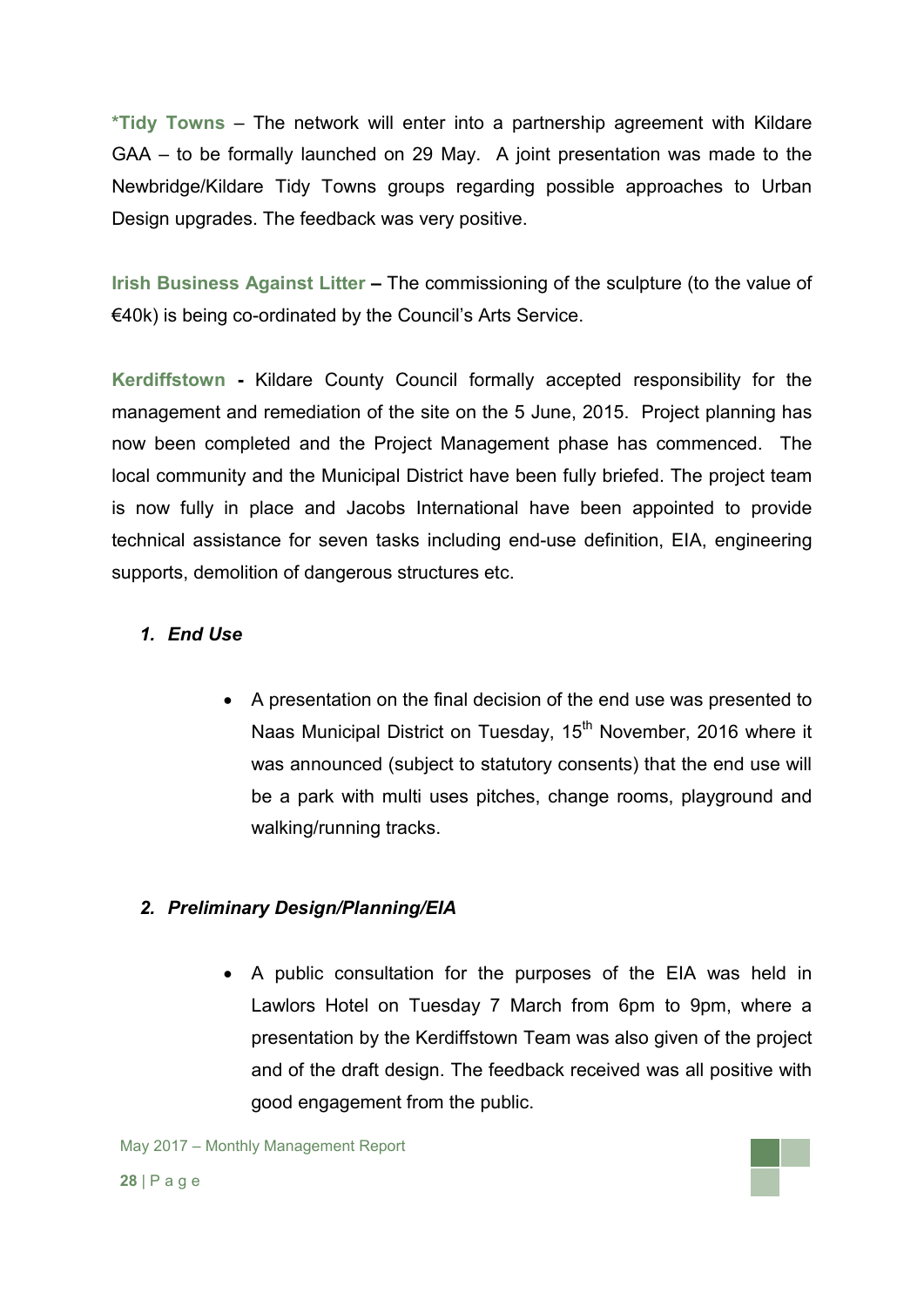**\*Tidy Towns** – The network will enter into a partnership agreement with Kildare GAA – to be formally launched on 29 May. A joint presentation was made to the Newbridge/Kildare Tidy Towns groups regarding possible approaches to Urban Design upgrades. The feedback was very positive.

**Irish Business Against Litter –** The commissioning of the sculpture (to the value of €40k) is being co-ordinated by the Council's Arts Service.

**Kerdiffstown -** Kildare County Council formally accepted responsibility for the management and remediation of the site on the 5 June, 2015. Project planning has now been completed and the Project Management phase has commenced. The local community and the Municipal District have been fully briefed. The project team is now fully in place and Jacobs International have been appointed to provide technical assistance for seven tasks including end-use definition, EIA, engineering supports, demolition of dangerous structures etc.

## *1. End Use*

 A presentation on the final decision of the end use was presented to Naas Municipal District on Tuesday, 15<sup>th</sup> November, 2016 where it was announced (subject to statutory consents) that the end use will be a park with multi uses pitches, change rooms, playground and walking/running tracks.

## *2. Preliminary Design/Planning/EIA*

 A public consultation for the purposes of the EIA was held in Lawlors Hotel on Tuesday 7 March from 6pm to 9pm, where a presentation by the Kerdiffstown Team was also given of the project and of the draft design. The feedback received was all positive with good engagement from the public.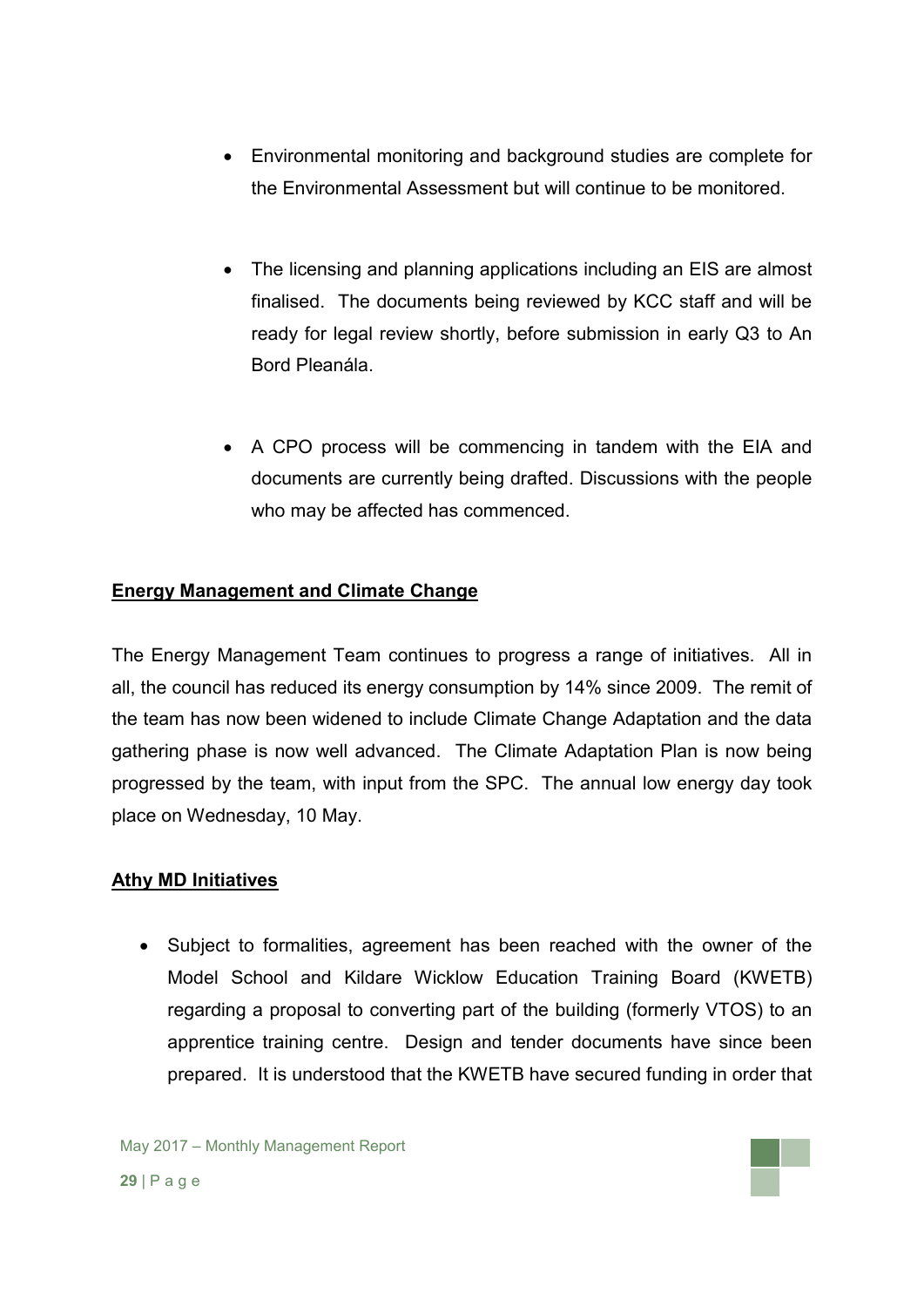- Environmental monitoring and background studies are complete for the Environmental Assessment but will continue to be monitored.
- The licensing and planning applications including an EIS are almost finalised. The documents being reviewed by KCC staff and will be ready for legal review shortly, before submission in early Q3 to An Bord Pleanála.
- A CPO process will be commencing in tandem with the EIA and documents are currently being drafted. Discussions with the people who may be affected has commenced.

## **Energy Management and Climate Change**

The Energy Management Team continues to progress a range of initiatives. All in all, the council has reduced its energy consumption by 14% since 2009. The remit of the team has now been widened to include Climate Change Adaptation and the data gathering phase is now well advanced. The Climate Adaptation Plan is now being progressed by the team, with input from the SPC. The annual low energy day took place on Wednesday, 10 May.

#### **Athy MD Initiatives**

• Subject to formalities, agreement has been reached with the owner of the Model School and Kildare Wicklow Education Training Board (KWETB) regarding a proposal to converting part of the building (formerly VTOS) to an apprentice training centre. Design and tender documents have since been prepared. It is understood that the KWETB have secured funding in order that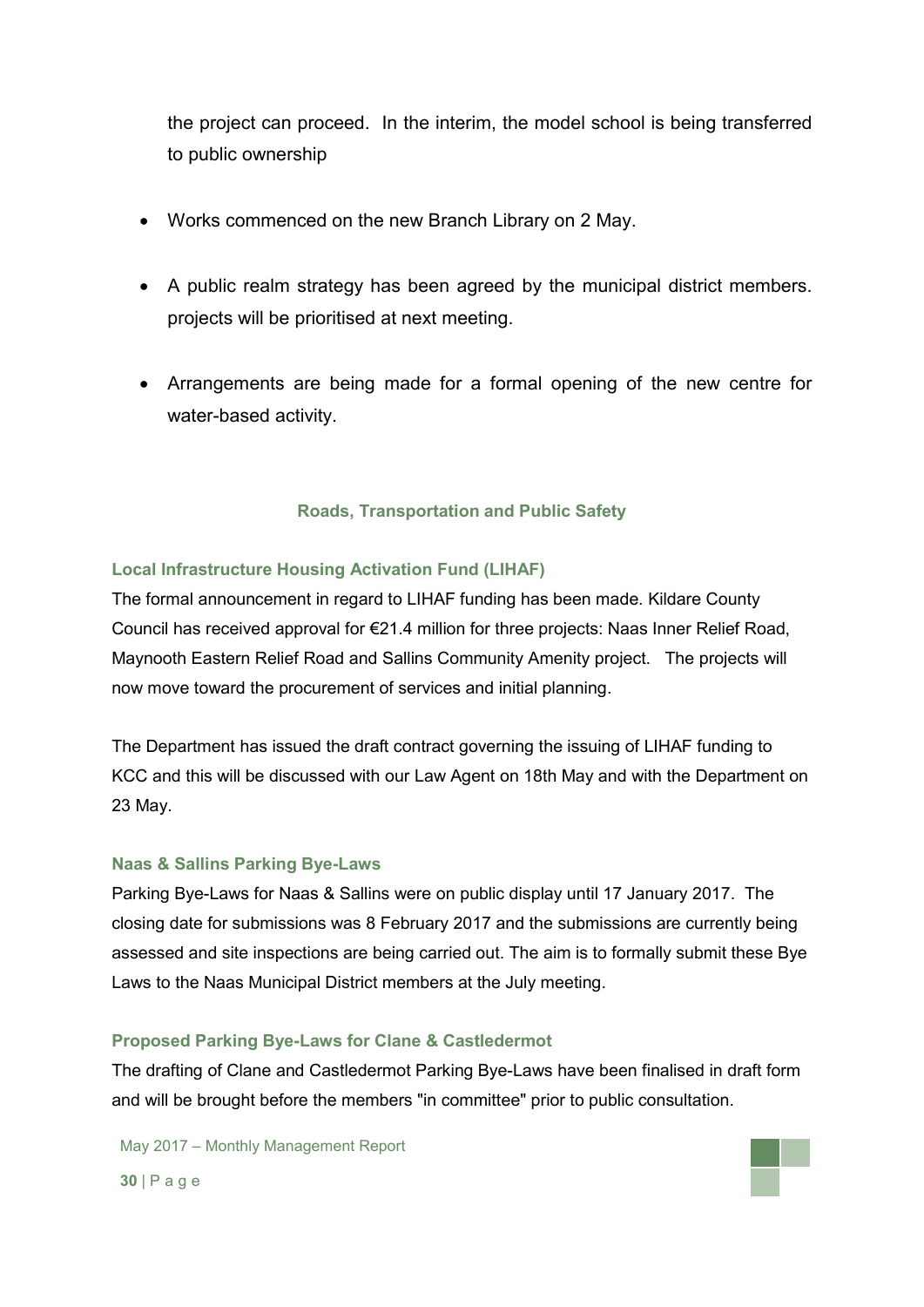the project can proceed. In the interim, the model school is being transferred to public ownership

- Works commenced on the new Branch Library on 2 May.
- A public realm strategy has been agreed by the municipal district members. projects will be prioritised at next meeting.
- Arrangements are being made for a formal opening of the new centre for water-based activity.

#### **Roads, Transportation and Public Safety**

#### **Local Infrastructure Housing Activation Fund (LIHAF)**

The formal announcement in regard to LIHAF funding has been made. Kildare County Council has received approval for €21.4 million for three projects: Naas Inner Relief Road, Maynooth Eastern Relief Road and Sallins Community Amenity project. The projects will now move toward the procurement of services and initial planning.

The Department has issued the draft contract governing the issuing of LIHAF funding to KCC and this will be discussed with our Law Agent on 18th May and with the Department on 23 May.

#### **Naas & Sallins Parking Bye-Laws**

Parking Bye-Laws for Naas & Sallins were on public display until 17 January 2017. The closing date for submissions was 8 February 2017 and the submissions are currently being assessed and site inspections are being carried out. The aim is to formally submit these Bye Laws to the Naas Municipal District members at the July meeting.

#### **Proposed Parking Bye-Laws for Clane & Castledermot**

The drafting of Clane and Castledermot Parking Bye-Laws have been finalised in draft form and will be brought before the members "in committee" prior to public consultation.

May 2017 – Monthly Management Report

**30** | P a g e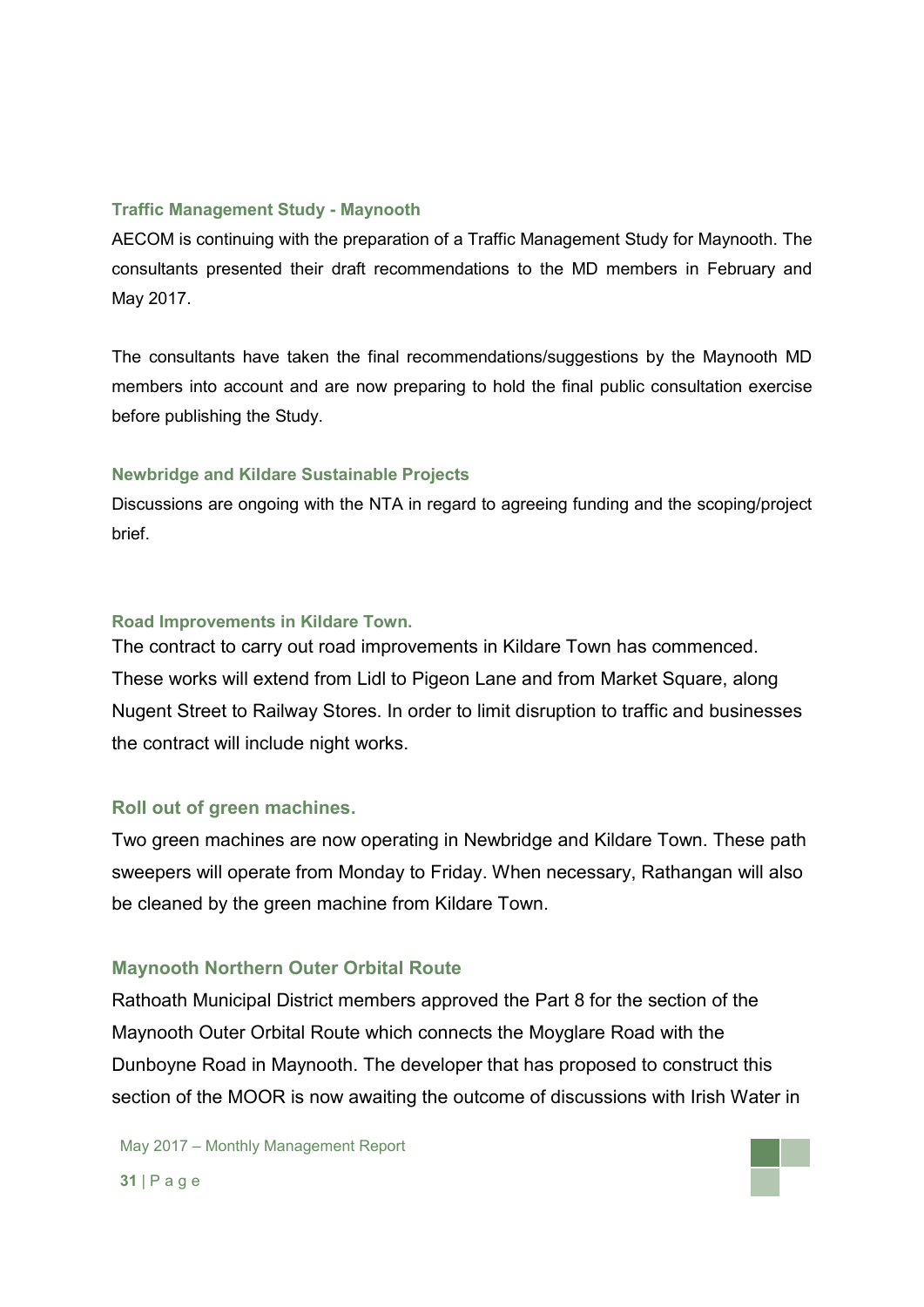#### **Traffic Management Study - Maynooth**

AECOM is continuing with the preparation of a Traffic Management Study for Maynooth. The consultants presented their draft recommendations to the MD members in February and May 2017.

The consultants have taken the final recommendations/suggestions by the Maynooth MD members into account and are now preparing to hold the final public consultation exercise before publishing the Study.

#### **Newbridge and Kildare Sustainable Projects**

Discussions are ongoing with the NTA in regard to agreeing funding and the scoping/project brief.

#### **Road Improvements in Kildare Town.**

The contract to carry out road improvements in Kildare Town has commenced. These works will extend from Lidl to Pigeon Lane and from Market Square, along Nugent Street to Railway Stores. In order to limit disruption to traffic and businesses the contract will include night works.

#### **Roll out of green machines.**

Two green machines are now operating in Newbridge and Kildare Town. These path sweepers will operate from Monday to Friday. When necessary, Rathangan will also be cleaned by the green machine from Kildare Town.

#### **Maynooth Northern Outer Orbital Route**

Rathoath Municipal District members approved the Part 8 for the section of the Maynooth Outer Orbital Route which connects the Moyglare Road with the Dunboyne Road in Maynooth. The developer that has proposed to construct this section of the MOOR is now awaiting the outcome of discussions with Irish Water in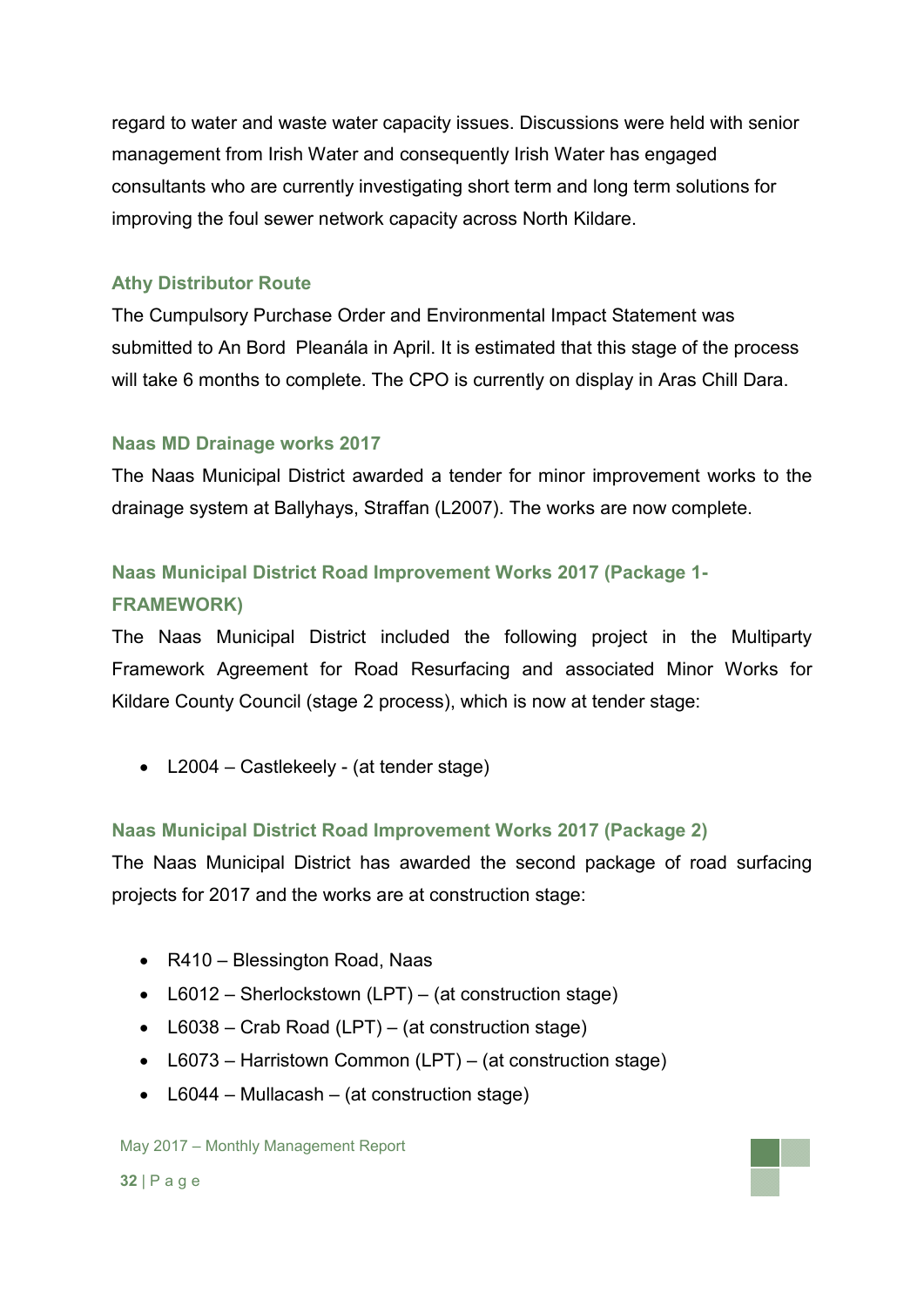regard to water and waste water capacity issues. Discussions were held with senior management from Irish Water and consequently Irish Water has engaged consultants who are currently investigating short term and long term solutions for improving the foul sewer network capacity across North Kildare.

## **Athy Distributor Route**

The Cumpulsory Purchase Order and Environmental Impact Statement was submitted to An Bord Pleanála in April. It is estimated that this stage of the process will take 6 months to complete. The CPO is currently on display in Aras Chill Dara.

### **Naas MD Drainage works 2017**

The Naas Municipal District awarded a tender for minor improvement works to the drainage system at Ballyhays, Straffan (L2007). The works are now complete.

## **Naas Municipal District Road Improvement Works 2017 (Package 1- FRAMEWORK)**

The Naas Municipal District included the following project in the Multiparty Framework Agreement for Road Resurfacing and associated Minor Works for Kildare County Council (stage 2 process), which is now at tender stage:

• L2004 – Castlekeely - (at tender stage)

## **Naas Municipal District Road Improvement Works 2017 (Package 2)**

The Naas Municipal District has awarded the second package of road surfacing projects for 2017 and the works are at construction stage:

- R410 Blessington Road, Naas
- L6012 Sherlockstown (LPT) (at construction stage)
- L6038 Crab Road (LPT) (at construction stage)
- L6073 Harristown Common (LPT) (at construction stage)
- L6044 Mullacash (at construction stage)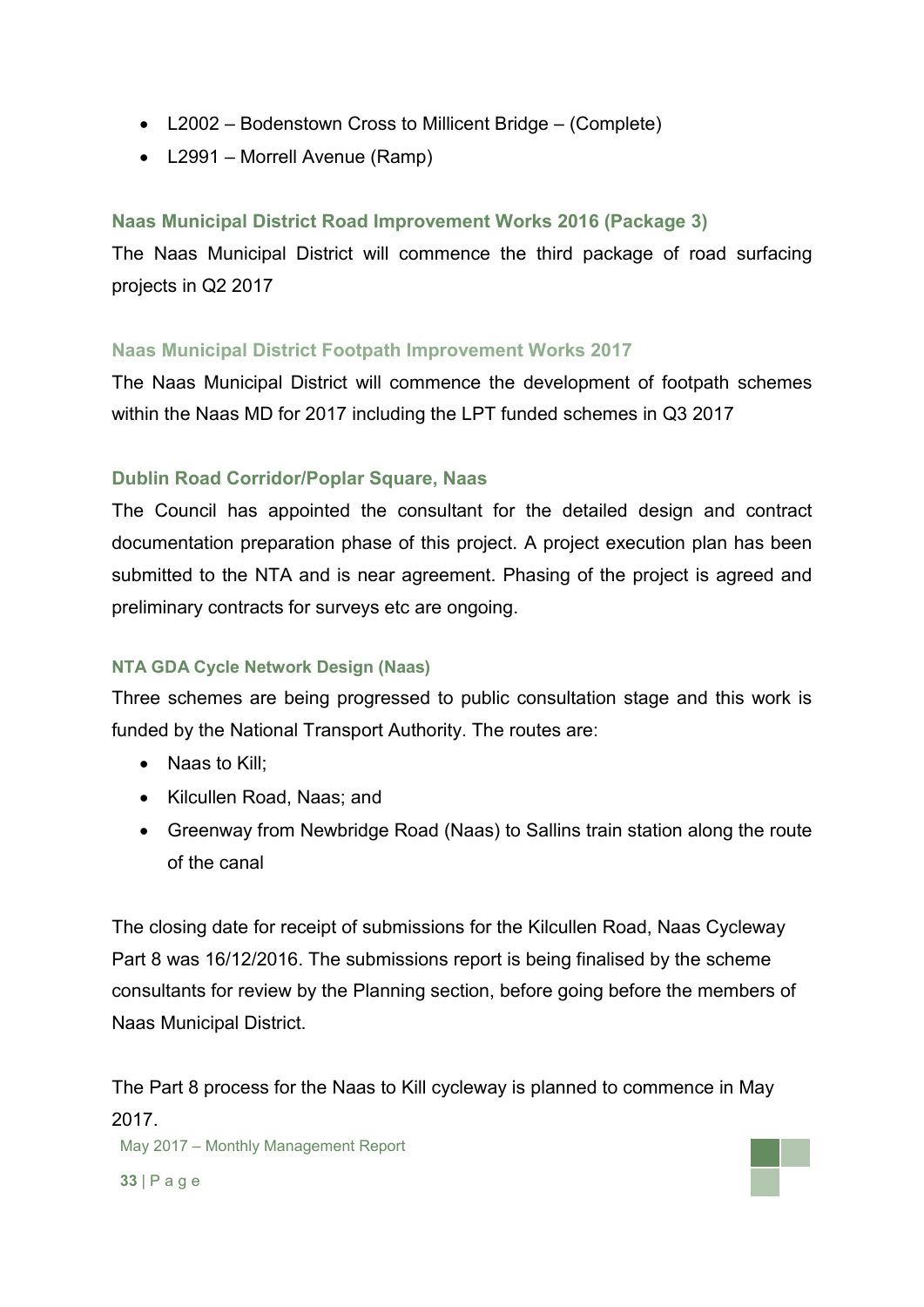- L2002 Bodenstown Cross to Millicent Bridge (Complete)
- L2991 Morrell Avenue (Ramp)

## **Naas Municipal District Road Improvement Works 2016 (Package 3)**

The Naas Municipal District will commence the third package of road surfacing projects in Q2 2017

## **Naas Municipal District Footpath Improvement Works 2017**

The Naas Municipal District will commence the development of footpath schemes within the Naas MD for 2017 including the LPT funded schemes in Q3 2017

## **Dublin Road Corridor/Poplar Square, Naas**

The Council has appointed the consultant for the detailed design and contract documentation preparation phase of this project. A project execution plan has been submitted to the NTA and is near agreement. Phasing of the project is agreed and preliminary contracts for surveys etc are ongoing.

## **NTA GDA Cycle Network Design (Naas)**

Three schemes are being progressed to public consultation stage and this work is funded by the National Transport Authority. The routes are:

- Naas to Kill;
- Kilcullen Road, Naas; and
- Greenway from Newbridge Road (Naas) to Sallins train station along the route of the canal

The closing date for receipt of submissions for the Kilcullen Road, Naas Cycleway Part 8 was 16/12/2016. The submissions report is being finalised by the scheme consultants for review by the Planning section, before going before the members of Naas Municipal District.

The Part 8 process for the Naas to Kill cycleway is planned to commence in May 2017.

May 2017 – Monthly Management Report

**33** | P a g e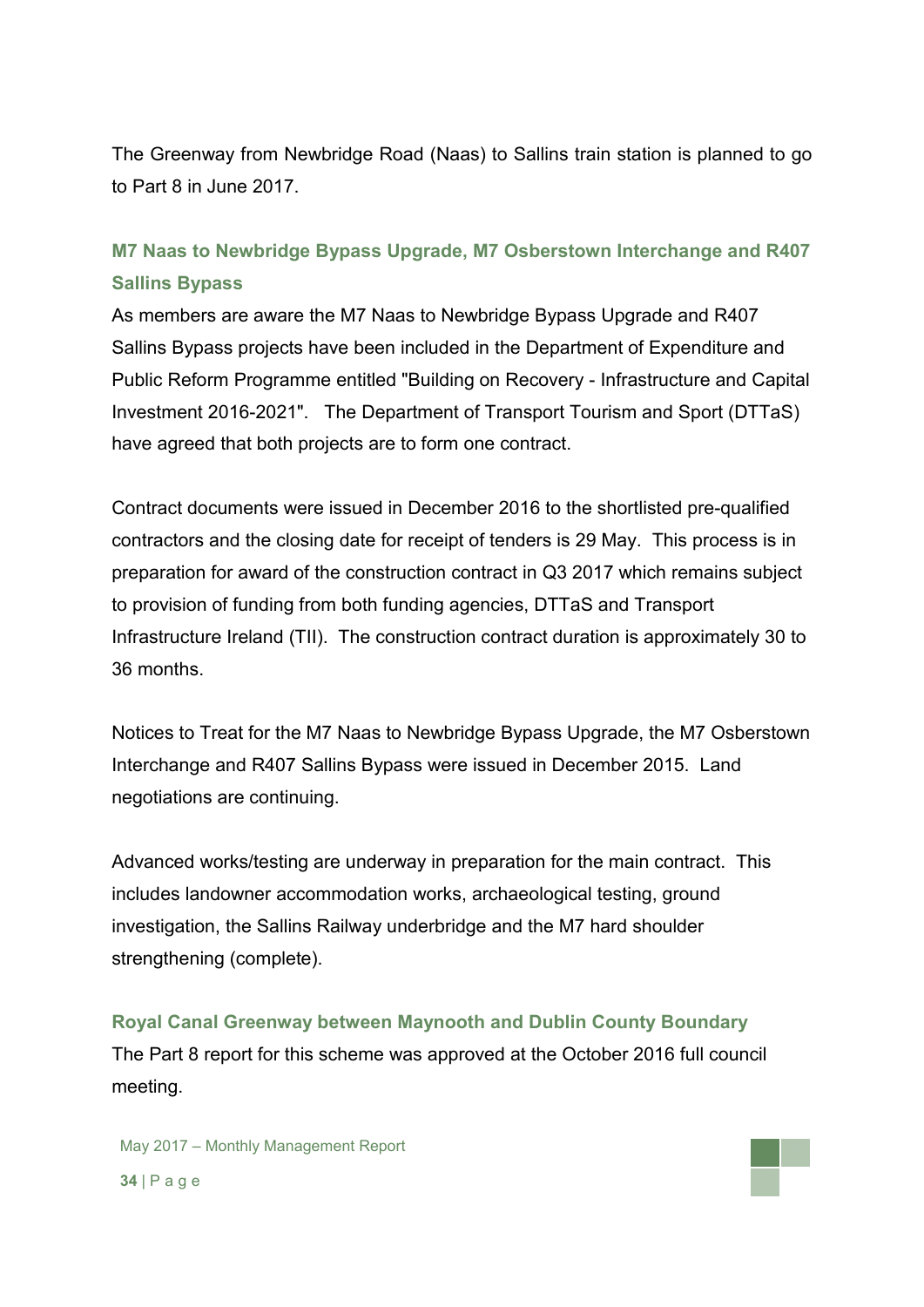The Greenway from Newbridge Road (Naas) to Sallins train station is planned to go to Part 8 in June 2017.

## **M7 Naas to Newbridge Bypass Upgrade, M7 Osberstown Interchange and R407 Sallins Bypass**

As members are aware the M7 Naas to Newbridge Bypass Upgrade and R407 Sallins Bypass projects have been included in the Department of Expenditure and Public Reform Programme entitled "Building on Recovery - Infrastructure and Capital Investment 2016-2021". The Department of Transport Tourism and Sport (DTTaS) have agreed that both projects are to form one contract.

Contract documents were issued in December 2016 to the shortlisted pre-qualified contractors and the closing date for receipt of tenders is 29 May. This process is in preparation for award of the construction contract in Q3 2017 which remains subject to provision of funding from both funding agencies, DTTaS and Transport Infrastructure Ireland (TII). The construction contract duration is approximately 30 to 36 months.

Notices to Treat for the M7 Naas to Newbridge Bypass Upgrade, the M7 Osberstown Interchange and R407 Sallins Bypass were issued in December 2015. Land negotiations are continuing.

Advanced works/testing are underway in preparation for the main contract. This includes landowner accommodation works, archaeological testing, ground investigation, the Sallins Railway underbridge and the M7 hard shoulder strengthening (complete).

**Royal Canal Greenway between Maynooth and Dublin County Boundary** The Part 8 report for this scheme was approved at the October 2016 full council meeting.

May 2017 – Monthly Management Report **34** | P a g e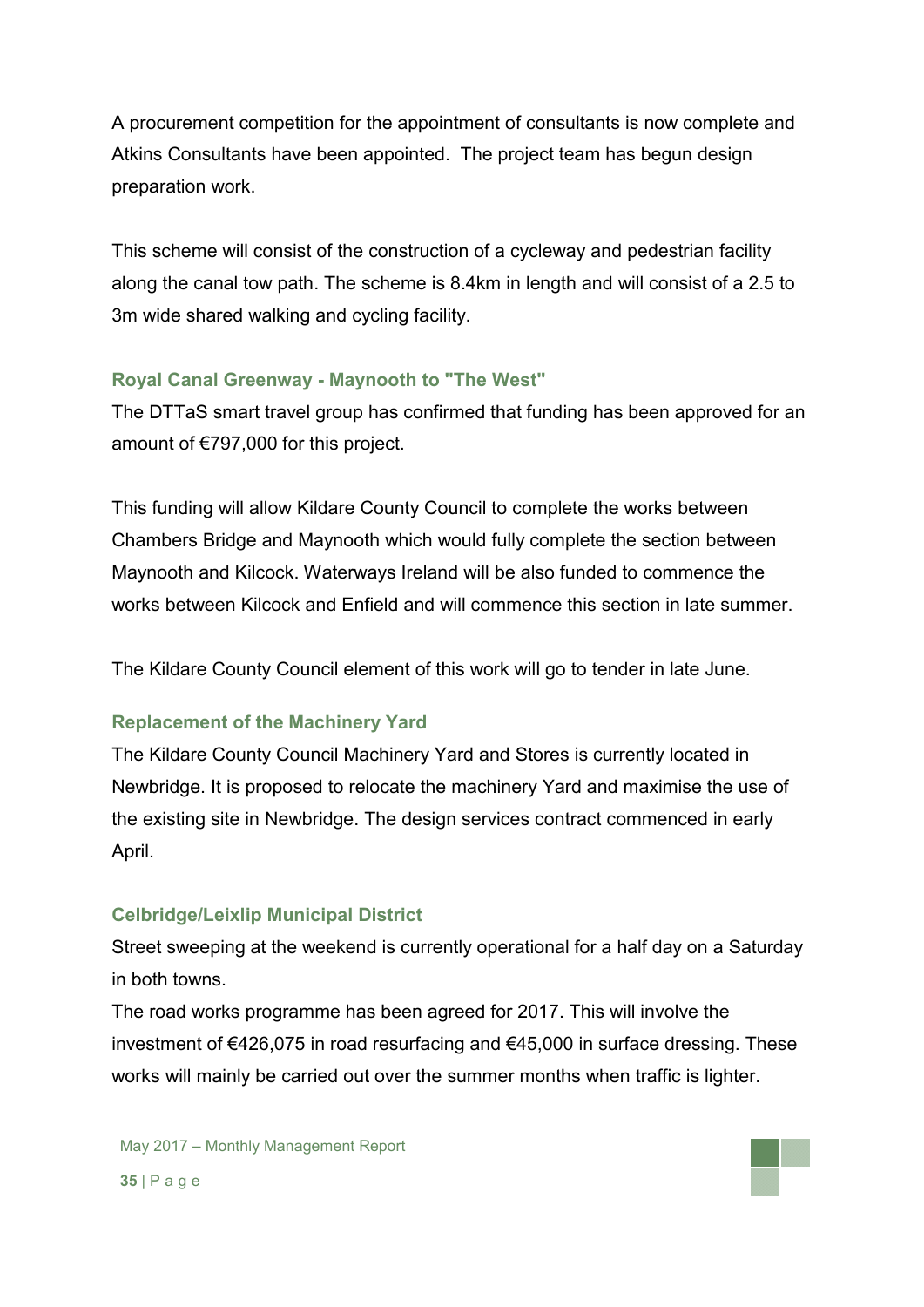A procurement competition for the appointment of consultants is now complete and Atkins Consultants have been appointed. The project team has begun design preparation work.

This scheme will consist of the construction of a cycleway and pedestrian facility along the canal tow path. The scheme is 8.4km in length and will consist of a 2.5 to 3m wide shared walking and cycling facility.

## **Royal Canal Greenway - Maynooth to "The West"**

The DTTaS smart travel group has confirmed that funding has been approved for an amount of €797,000 for this project.

This funding will allow Kildare County Council to complete the works between Chambers Bridge and Maynooth which would fully complete the section between Maynooth and Kilcock. Waterways Ireland will be also funded to commence the works between Kilcock and Enfield and will commence this section in late summer.

The Kildare County Council element of this work will go to tender in late June.

## **Replacement of the Machinery Yard**

The Kildare County Council Machinery Yard and Stores is currently located in Newbridge. It is proposed to relocate the machinery Yard and maximise the use of the existing site in Newbridge. The design services contract commenced in early April.

## **Celbridge/Leixlip Municipal District**

Street sweeping at the weekend is currently operational for a half day on a Saturday in both towns.

The road works programme has been agreed for 2017. This will involve the investment of €426,075 in road resurfacing and €45,000 in surface dressing. These works will mainly be carried out over the summer months when traffic is lighter.

May 2017 – Monthly Management Report **35** | P a g e

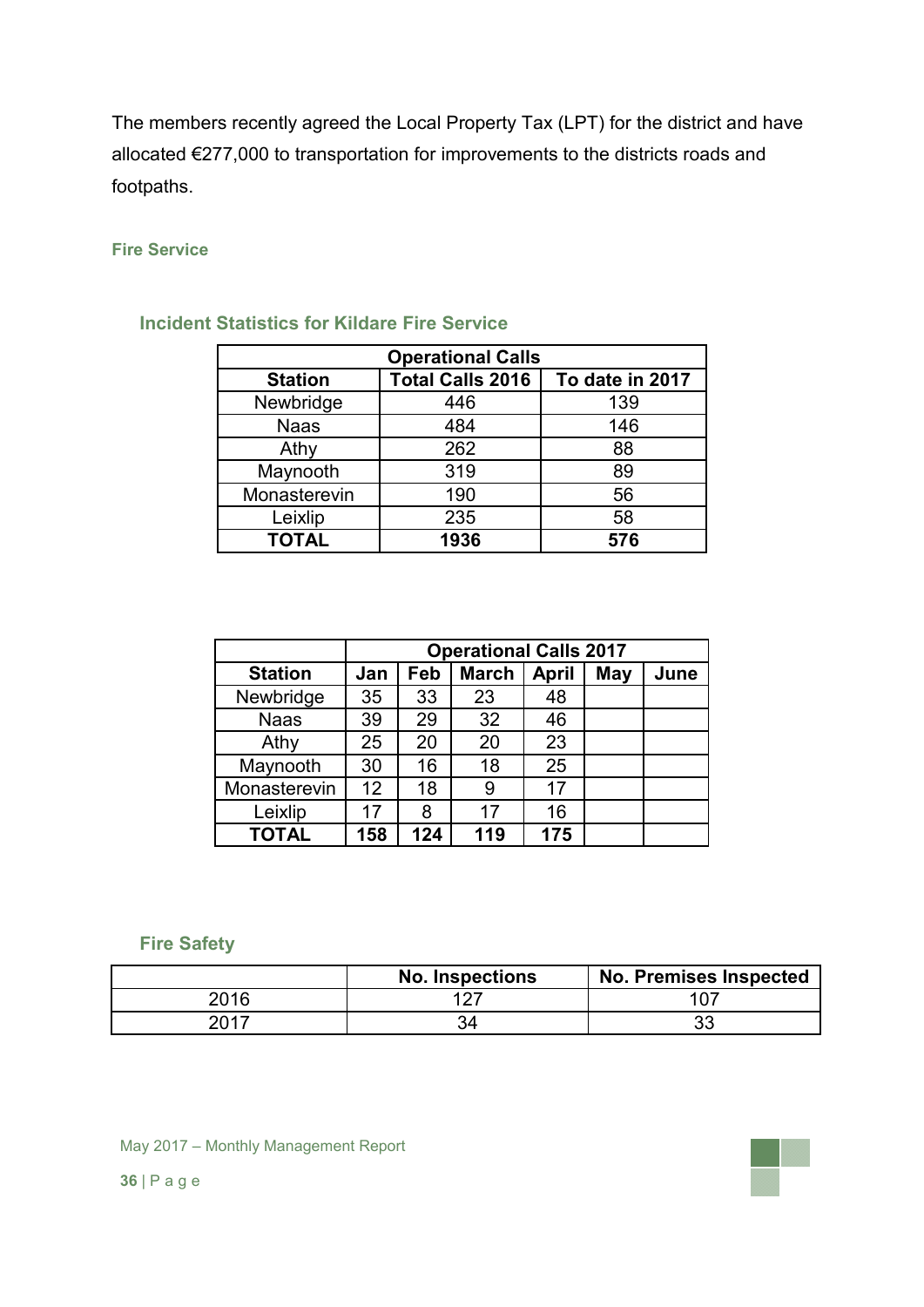The members recently agreed the Local Property Tax (LPT) for the district and have allocated €277,000 to transportation for improvements to the districts roads and footpaths.

#### **Fire Service**

| <b>Operational Calls</b> |                         |                 |  |  |  |
|--------------------------|-------------------------|-----------------|--|--|--|
| <b>Station</b>           | <b>Total Calls 2016</b> | To date in 2017 |  |  |  |
| Newbridge                | 446                     | 139             |  |  |  |
| <b>Naas</b>              | 484                     | 146             |  |  |  |
| Athy                     | 262                     | 88              |  |  |  |
| Maynooth                 | 319                     | 89              |  |  |  |
| Monasterevin             | 190                     | 56              |  |  |  |
| Leixlip                  | 235                     | 58              |  |  |  |
| <b>TOTAL</b>             | 1936                    | 576             |  |  |  |

### **Incident Statistics for Kildare Fire Service**

|                | <b>Operational Calls 2017</b> |     |              |              |            |      |
|----------------|-------------------------------|-----|--------------|--------------|------------|------|
| <b>Station</b> | Jan                           | Feb | <b>March</b> | <b>April</b> | <b>May</b> | June |
| Newbridge      | 35                            | 33  | 23           | 48           |            |      |
| <b>Naas</b>    | 39                            | 29  | 32           | 46           |            |      |
| Athy           | 25                            | 20  | 20           | 23           |            |      |
| Maynooth       | 30                            | 16  | 18           | 25           |            |      |
| Monasterevin   | 12                            | 18  | 9            | 17           |            |      |
| Leixlip        | 17                            | 8   | 17           | 16           |            |      |
| <b>TOTAL</b>   | 158                           | 124 | 119          | 175          |            |      |

### **Fire Safety**

|      | <b>No. Inspections</b> | No. Premises Inspected |
|------|------------------------|------------------------|
| 2016 | ィっフ                    |                        |
| 2017 |                        | າາ<br>ບບ               |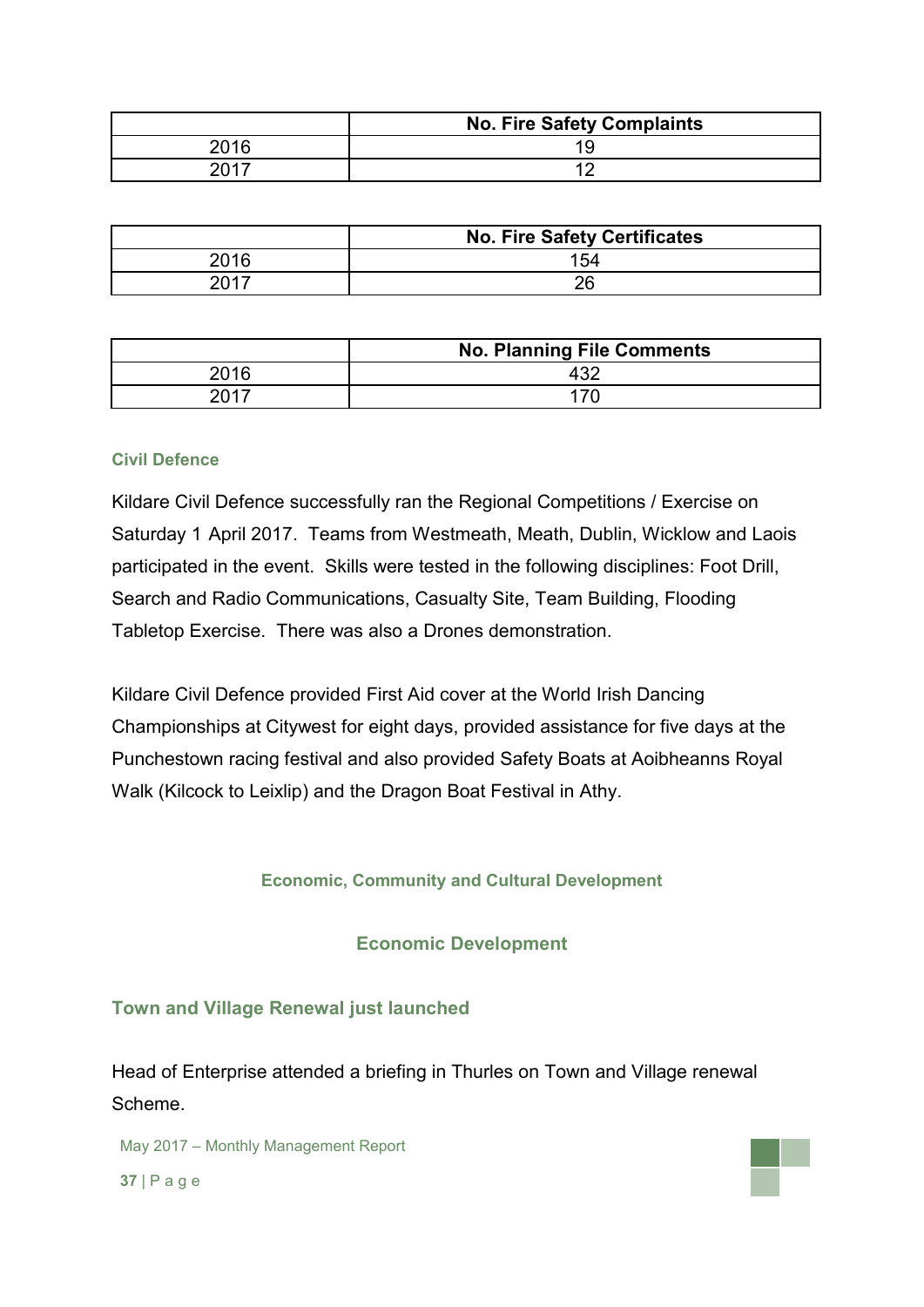|      | <b>No. Fire Safety Complaints</b> |  |  |  |  |  |
|------|-----------------------------------|--|--|--|--|--|
| 2016 |                                   |  |  |  |  |  |
|      |                                   |  |  |  |  |  |

|      | <b>No. Fire Safety Certificates</b> |  |  |  |  |  |
|------|-------------------------------------|--|--|--|--|--|
| 2016 | 154                                 |  |  |  |  |  |
| 2017 |                                     |  |  |  |  |  |

|      | <b>No. Planning File Comments</b> |  |  |  |  |  |
|------|-----------------------------------|--|--|--|--|--|
| 2016 |                                   |  |  |  |  |  |
| 2017 |                                   |  |  |  |  |  |

#### **Civil Defence**

Kildare Civil Defence successfully ran the Regional Competitions / Exercise on Saturday 1 April 2017. Teams from Westmeath, Meath, Dublin, Wicklow and Laois participated in the event. Skills were tested in the following disciplines: Foot Drill, Search and Radio Communications, Casualty Site, Team Building, Flooding Tabletop Exercise. There was also a Drones demonstration.

Kildare Civil Defence provided First Aid cover at the World Irish Dancing Championships at Citywest for eight days, provided assistance for five days at the Punchestown racing festival and also provided Safety Boats at Aoibheanns Royal Walk (Kilcock to Leixlip) and the Dragon Boat Festival in Athy.

**Economic, Community and Cultural Development**

**Economic Development**

## **Town and Village Renewal just launched**

Head of Enterprise attended a briefing in Thurles on Town and Village renewal Scheme.

May 2017 – Monthly Management Report

**37** | P a g e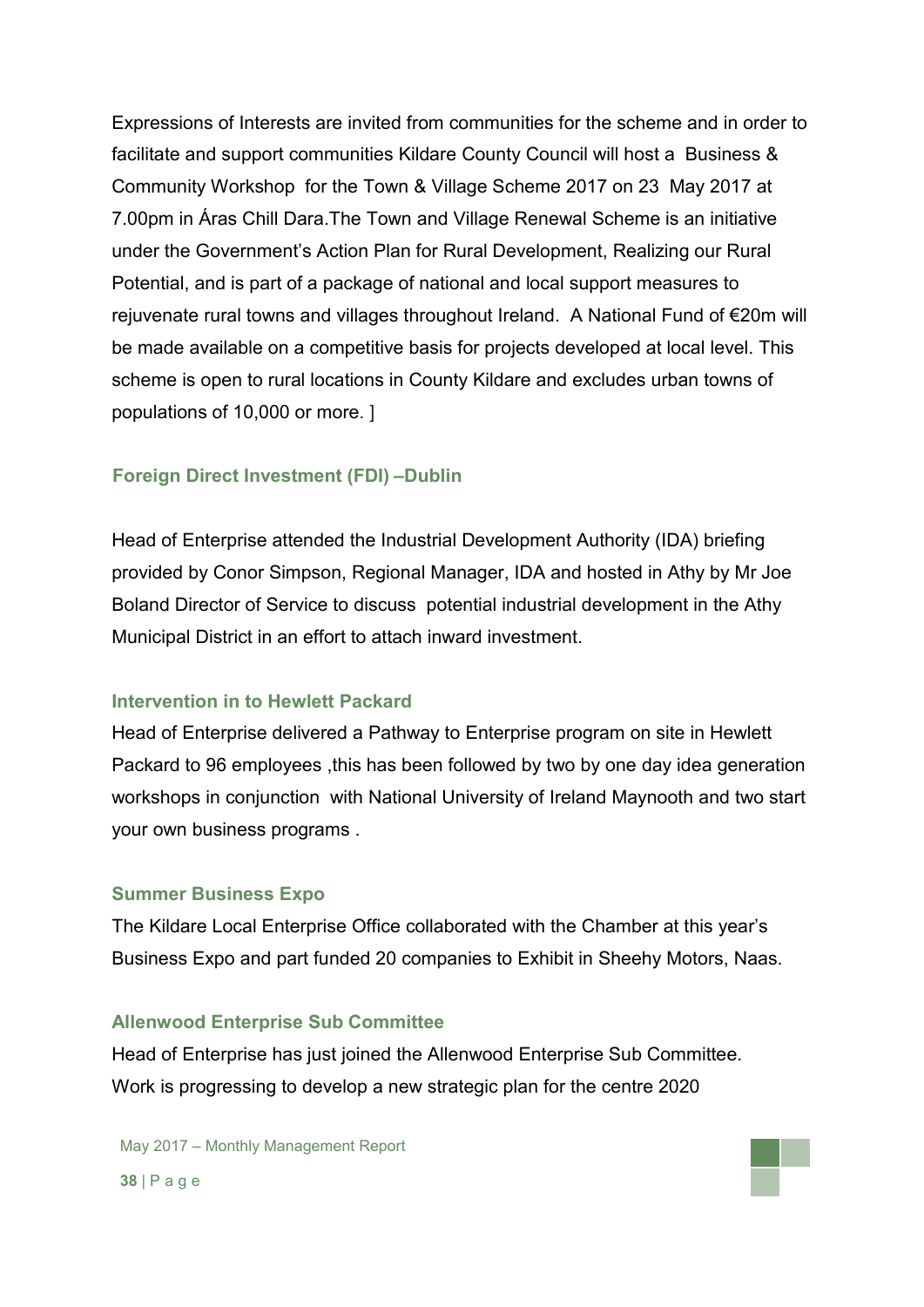Expressions of Interests are invited from communities for the scheme and in order to facilitate and support communities Kildare County Council will host a Business & Community Workshop for the Town & Village Scheme 2017 on 23 May 2017 at 7.00pm in Áras Chill Dara.The Town and Village Renewal Scheme is an initiative under the Government's Action Plan for Rural Development, Realizing our Rural Potential, and is part of a package of national and local support measures to rejuvenate rural towns and villages throughout Ireland. A National Fund of €20m will be made available on a competitive basis for projects developed at local level. This scheme is open to rural locations in County Kildare and excludes urban towns of populations of 10,000 or more. ]

#### **Foreign Direct Investment (FDI) –Dublin**

Head of Enterprise attended the Industrial Development Authority (IDA) briefing provided by Conor Simpson, Regional Manager, IDA and hosted in Athy by Mr Joe Boland Director of Service to discuss potential industrial development in the Athy Municipal District in an effort to attach inward investment.

#### **Intervention in to Hewlett Packard**

Head of Enterprise delivered a Pathway to Enterprise program on site in Hewlett Packard to 96 employees ,this has been followed by two by one day idea generation workshops in conjunction with National University of Ireland Maynooth and two start your own business programs .

#### **Summer Business Expo**

The Kildare Local Enterprise Office collaborated with the Chamber at this year's Business Expo and part funded 20 companies to Exhibit in Sheehy Motors, Naas.

#### **Allenwood Enterprise Sub Committee**

Head of Enterprise has just joined the Allenwood Enterprise Sub Committee. Work is progressing to develop a new strategic plan for the centre 2020

May 2017 – Monthly Management Report **38** | P a g e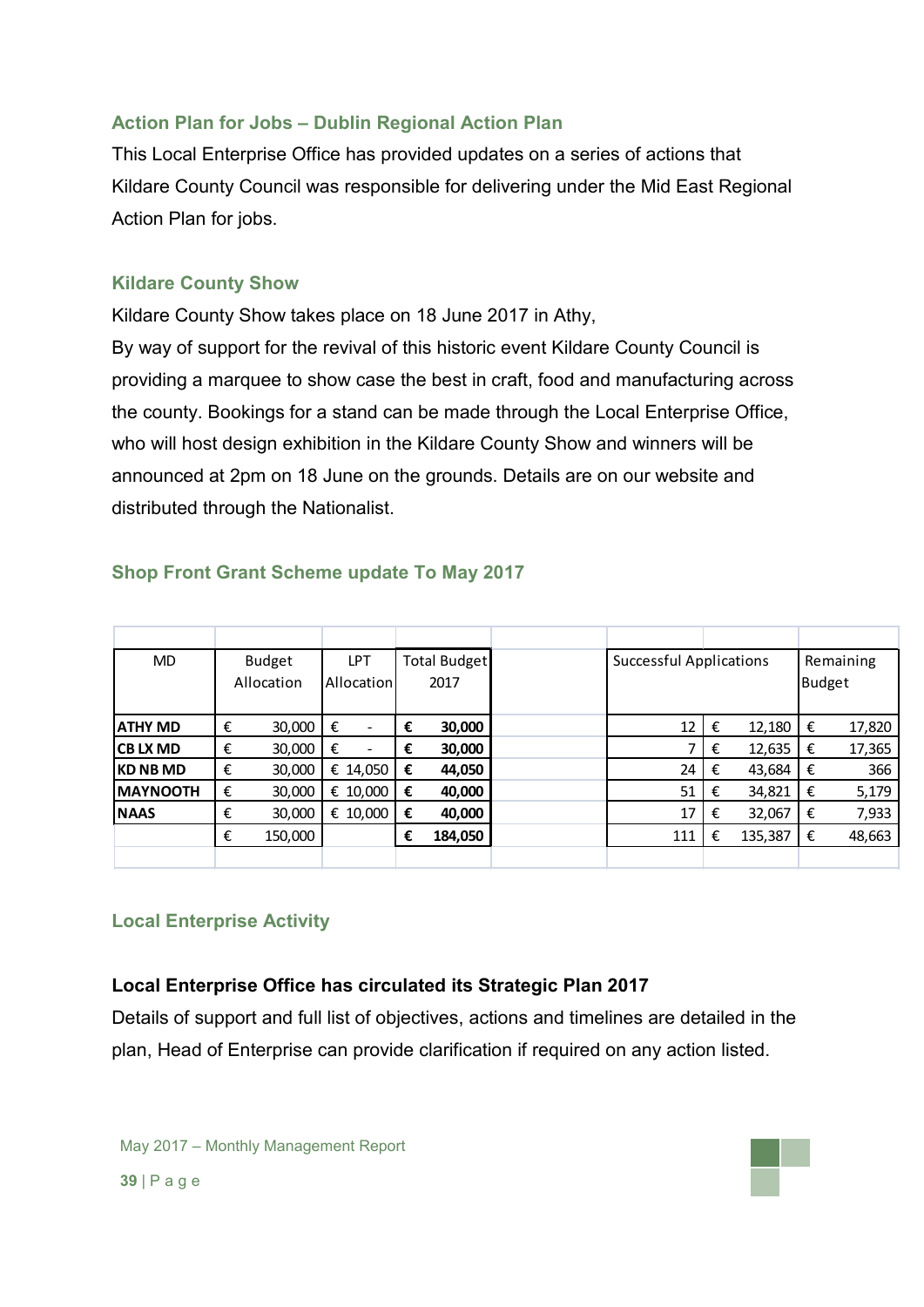## **Action Plan for Jobs – Dublin Regional Action Plan**

This Local Enterprise Office has provided updates on a series of actions that Kildare County Council was responsible for delivering under the Mid East Regional Action Plan for jobs.

## **Kildare County Show**

Kildare County Show takes place on 18 June 2017 in Athy, By way of support for the revival of this historic event Kildare County Council is providing a marquee to show case the best in craft, food and manufacturing across the county. Bookings for a stand can be made through the Local Enterprise Office, who will host design exhibition in the Kildare County Show and winners will be announced at 2pm on 18 June on the grounds. Details are on our website and distributed through the Nationalist.

| <b>MD</b>        |   | <b>Budget</b> |   | LPT        |   | <b>Total Budget</b> | <b>Successful Applications</b> |   |         | Remaining     |        |
|------------------|---|---------------|---|------------|---|---------------------|--------------------------------|---|---------|---------------|--------|
|                  |   | Allocation    |   | Allocation |   | 2017                |                                |   |         | <b>Budget</b> |        |
|                  |   |               |   |            |   |                     |                                |   |         |               |        |
| <b>ATHY MD</b>   | € | 30,000        | € | ۰          | € | 30,000              | 12                             | € | 12,180  | €             | 17,820 |
| ICB LX MD        | € | 30,000        | € | ۰          | € | 30,000              |                                | € | 12,635  | €             | 17,365 |
| IKD NB MD        | € | 30,000        |   | € 14,050   | € | 44,050              | 24                             | € | 43,684  | €             |        |
| <b>IMAYNOOTH</b> | € | 30,000        | € | 10,000     | € | 40,000              | 51                             | € | 34,821  | €             | 5,179  |
| <b>NAAS</b>      | € | 30,000        |   | € 10,000   | € | 40,000              | 17                             | € | 32,067  | €             | 7,933  |
|                  | € | 150,000       |   |            | € | 184,050             | 111                            | € | 135,387 | €             | 48,663 |
|                  |   |               |   |            |   |                     |                                |   |         |               |        |

## **Shop Front Grant Scheme update To May 2017**

## **Local Enterprise Activity**

## **Local Enterprise Office has circulated its Strategic Plan 2017**

Details of support and full list of objectives, actions and timelines are detailed in the plan, Head of Enterprise can provide clarification if required on any action listed.

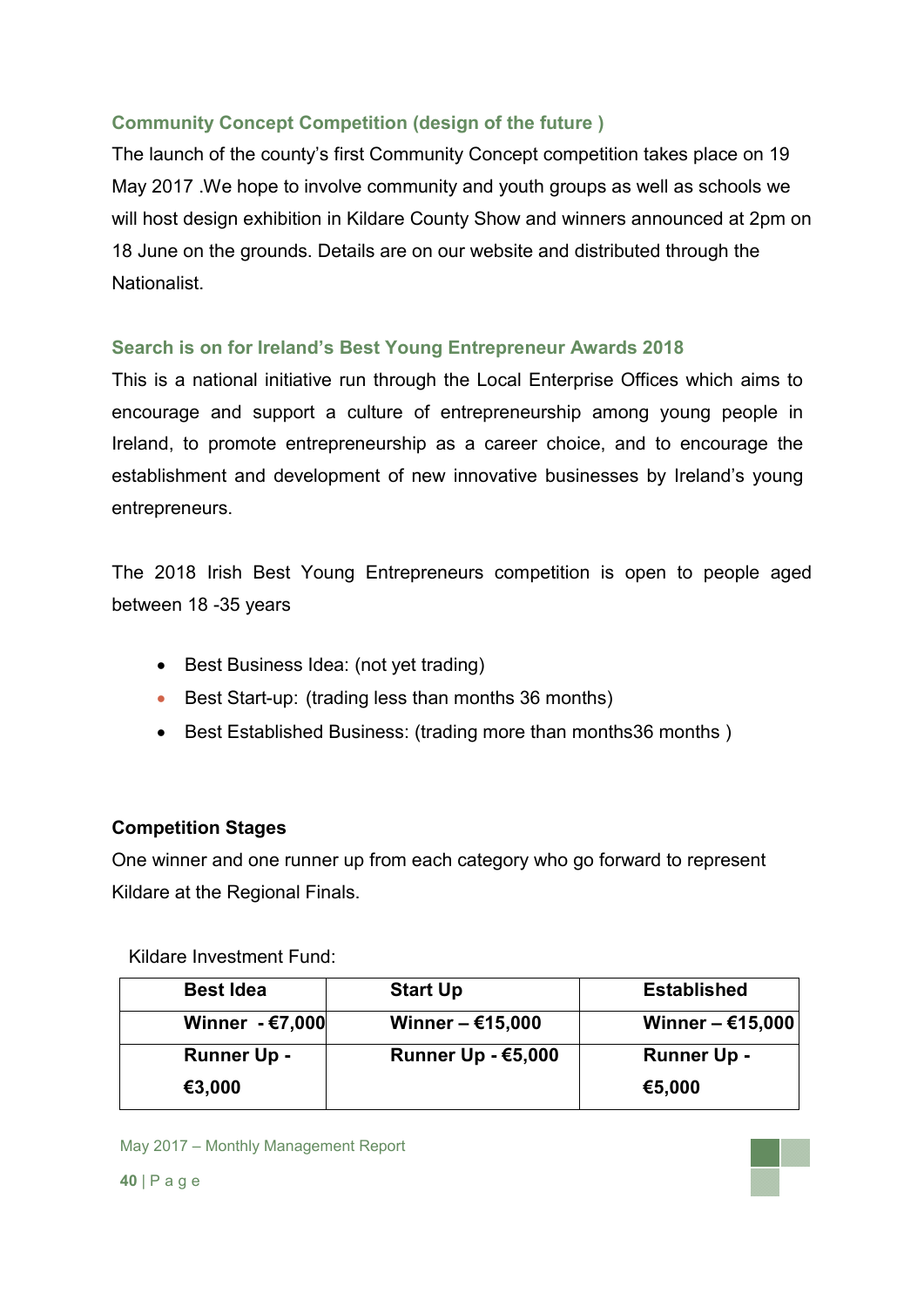## **Community Concept Competition (design of the future )**

The launch of the county's first Community Concept competition takes place on 19 May 2017 .We hope to involve community and youth groups as well as schools we will host design exhibition in Kildare County Show and winners announced at 2pm on 18 June on the grounds. Details are on our website and distributed through the **Nationalist** 

## **Search is on for Ireland's Best Young Entrepreneur Awards 2018**

This is a national initiative run through the Local Enterprise Offices which aims to encourage and support a culture of entrepreneurship among young people in Ireland, to promote entrepreneurship as a career choice, and to encourage the establishment and development of new innovative businesses by Ireland's young entrepreneurs.

The 2018 Irish Best Young Entrepreneurs competition is open to people aged between 18 -35 years

- Best Business Idea: (not yet trading)
- Best Start-up: (trading less than months 36 months)
- Best Established Business: (trading more than months36 months)

## **Competition Stages**

One winner and one runner up from each category who go forward to represent Kildare at the Regional Finals.

Kildare Investment Fund:

| <b>Best Idea</b>   | <b>Start Up</b>           | <b>Established</b> |
|--------------------|---------------------------|--------------------|
| Winner $ E$ 7,000  | Winner $-615,000$         | Winner $-615,000$  |
| <b>Runner Up -</b> | <b>Runner Up - €5,000</b> | <b>Runner Up -</b> |
| €3,000             |                           | €5,000             |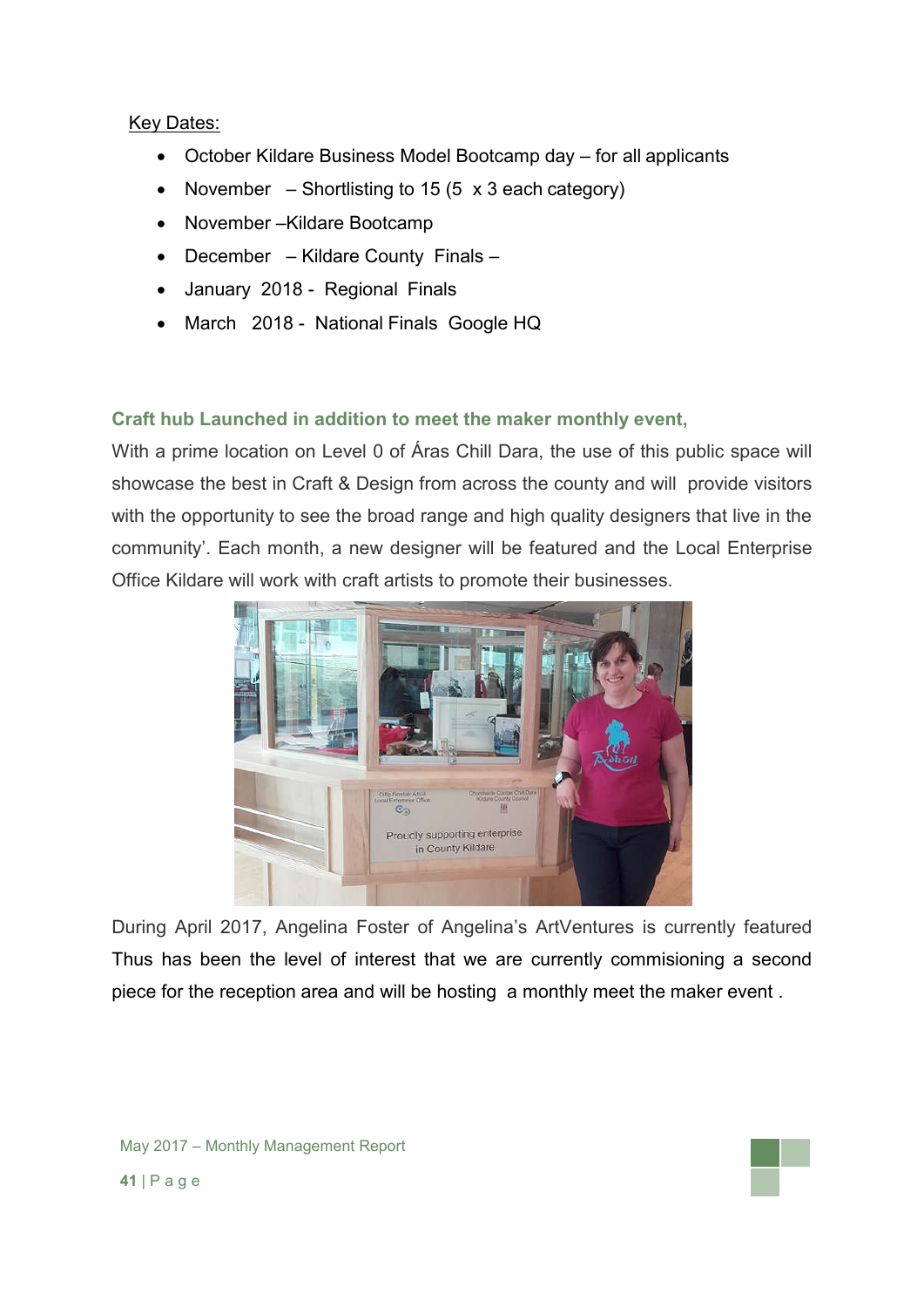### Key Dates:

- October Kildare Business Model Bootcamp day for all applicants
- November Shortlisting to 15 (5  $\times$  3 each category)
- November Kildare Bootcamp
- December Kildare County Finals –
- January 2018 Regional Finals
- March 2018 National Finals Google HQ

## **Craft hub Launched in addition to meet the maker monthly event,**

With a prime location on Level 0 of Áras Chill Dara, the use of this public space will showcase the best in Craft & Design from across the county and will provide visitors with the opportunity to see the broad range and high quality designers that live in the community'. Each month, a new designer will be featured and the Local Enterprise Office Kildare will work with craft artists to promote their businesses.



During April 2017, Angelina Foster of Angelina's ArtVentures is currently featured Thus has been the level of interest that we are currently commisioning a second piece for the reception area and will be hosting a monthly meet the maker event .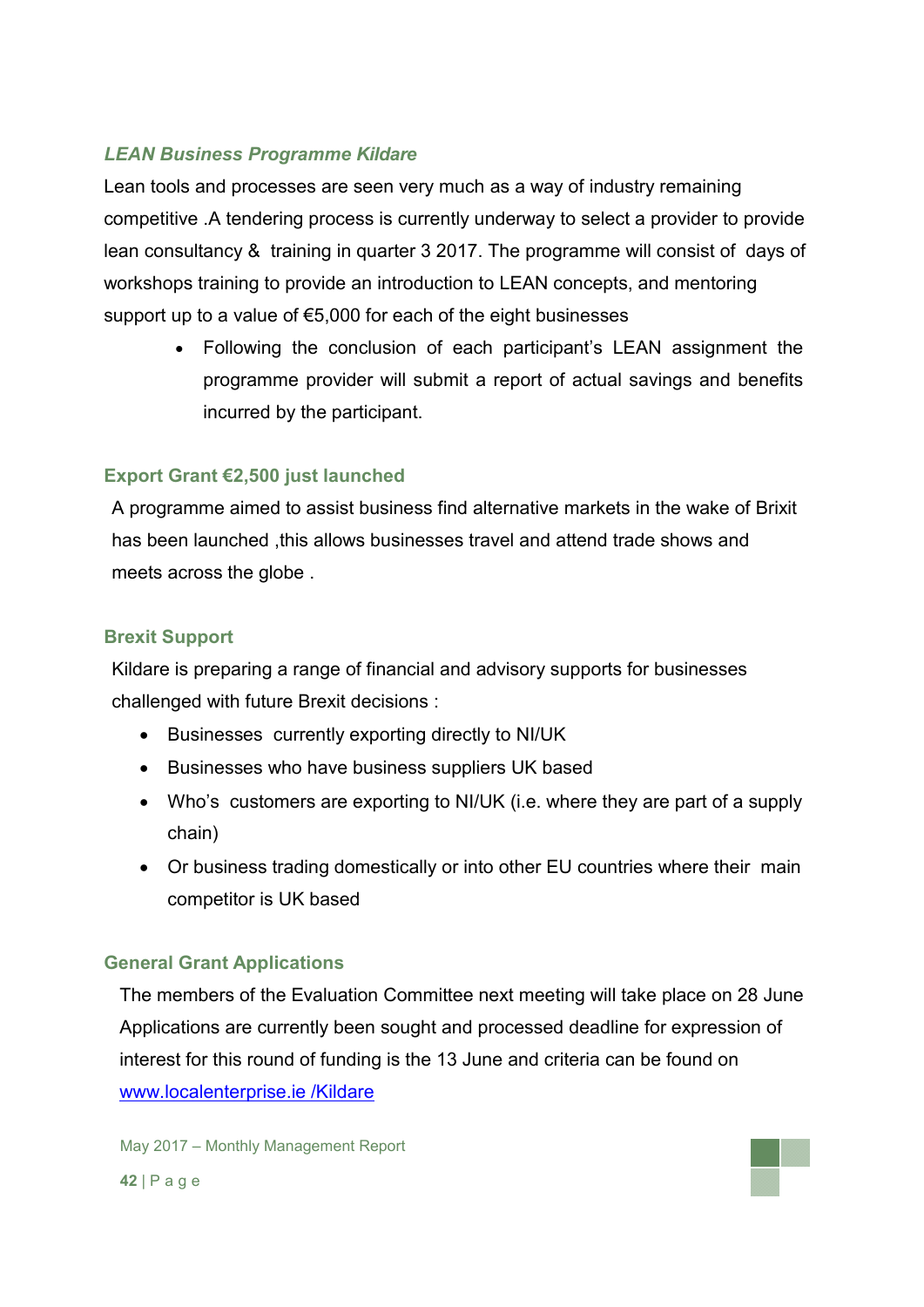## *LEAN Business Programme Kildare*

Lean tools and processes are seen very much as a way of industry remaining competitive .A tendering process is currently underway to select a provider to provide lean consultancy & training in quarter 3 2017. The programme will consist of days of workshops training to provide an introduction to LEAN concepts, and mentoring support up to a value of €5,000 for each of the eight businesses

> Following the conclusion of each participant's LEAN assignment the programme provider will submit a report of actual savings and benefits incurred by the participant.

## **Export Grant €2,500 just launched**

A programme aimed to assist business find alternative markets in the wake of Brixit has been launched , this allows businesses travel and attend trade shows and meets across the globe .

### **Brexit Support**

Kildare is preparing a range of financial and advisory supports for businesses challenged with future Brexit decisions :

- Businesses currently exporting directly to NI/UK
- Businesses who have business suppliers UK based
- Who's customers are exporting to NI/UK (i.e. where they are part of a supply chain)
- Or business trading domestically or into other EU countries where their main competitor is UK based

## **General Grant Applications**

The members of the Evaluation Committee next meeting will take place on 28 June Applications are currently been sought and processed deadline for expression of interest for this round of funding is the 13 June and criteria can be found on www.localenterprise.ie /Kildare